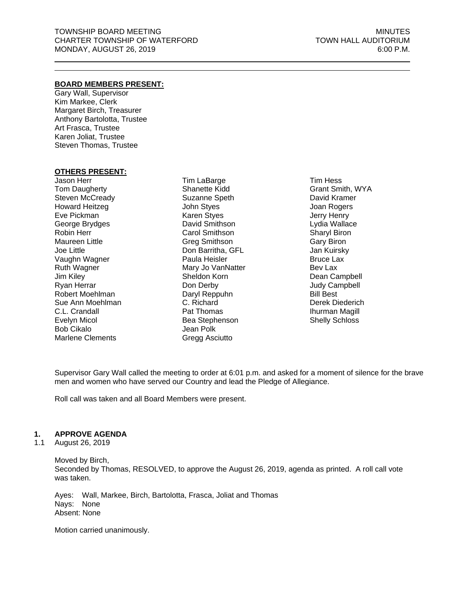### **BOARD MEMBERS PRESENT:**

Gary Wall, Supervisor Kim Markee, Clerk Margaret Birch, Treasurer Anthony Bartolotta, Trustee Art Frasca, Trustee Karen Joliat, Trustee Steven Thomas, Trustee

#### **OTHERS PRESENT:**

Jason Herr Tom Daugherty Steven McCready Howard Heitzeg Eve Pickman George Brydges Robin Herr Maureen Little Joe Little Vaughn Wagner Ruth Wagner Jim Kiley Ryan Herrar Robert Moehlman Sue Ann Moehlman C.L. Crandall Evelyn Micol Bob Cikalo Marlene Clements

Tim LaBarge Shanette Kidd Suzanne Speth John Styes Karen Styes David Smithson Carol Smithson Greg Smithson Don Barritha, GFL Paula Heisler Mary Jo VanNatter Sheldon Korn Don Derby Daryl Reppuhn C. Richard Pat Thomas Bea Stephenson Jean Polk Gregg Asciutto

Tim Hess Grant Smith, WYA David Kramer Joan Rogers Jerry Henry Lydia Wallace Sharyl Biron Gary Biron Jan Kuirsky Bruce Lax Bev Lax Dean Campbell Judy Campbell Bill Best Derek Diederich Ihurman Magill Shelly Schloss

Supervisor Gary Wall called the meeting to order at 6:01 p.m. and asked for a moment of silence for the brave men and women who have served our Country and lead the Pledge of Allegiance.

Roll call was taken and all Board Members were present.

## **1. APPROVE AGENDA**

1.1 August 26, 2019

Moved by Birch, Seconded by Thomas, RESOLVED, to approve the August 26, 2019, agenda as printed. A roll call vote was taken.

Ayes: Wall, Markee, Birch, Bartolotta, Frasca, Joliat and Thomas Nays: None Absent: None

Motion carried unanimously.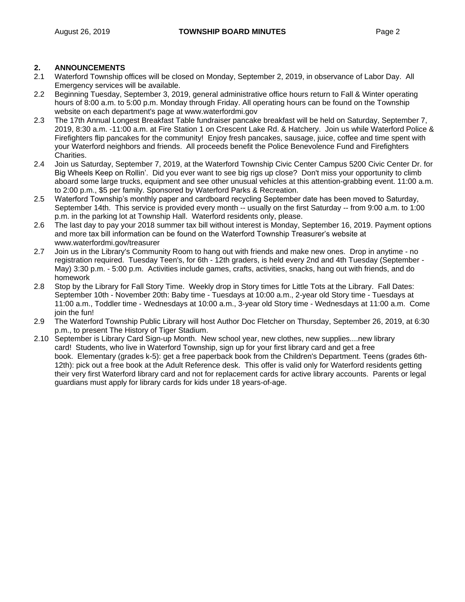## **2. ANNOUNCEMENTS**

- 2.1 Waterford Township offices will be closed on Monday, September 2, 2019, in observance of Labor Day. All Emergency services will be available.
- 2.2 Beginning Tuesday, September 3, 2019, general administrative office hours return to Fall & Winter operating hours of 8:00 a.m. to 5:00 p.m. Monday through Friday. All operating hours can be found on the Township website on each department's page at www.waterfordmi.gov
- 2.3 The 17th Annual Longest Breakfast Table fundraiser pancake breakfast will be held on Saturday, September 7, 2019, 8:30 a.m. -11:00 a.m. at Fire Station 1 on Crescent Lake Rd. & Hatchery. Join us while Waterford Police & Firefighters flip pancakes for the community! Enjoy fresh pancakes, sausage, juice, coffee and time spent with your Waterford neighbors and friends. All proceeds benefit the Police Benevolence Fund and Firefighters Charities.
- 2.4 Join us Saturday, September 7, 2019, at the Waterford Township Civic Center Campus 5200 Civic Center Dr. for Big Wheels Keep on Rollin'. Did you ever want to see big rigs up close? Don't miss your opportunity to climb aboard some large trucks, equipment and see other unusual vehicles at this attention-grabbing event. 11:00 a.m. to 2:00 p.m., \$5 per family. Sponsored by Waterford Parks & Recreation.
- 2.5 Waterford Township's monthly paper and cardboard recycling September date has been moved to Saturday, September 14th. This service is provided every month -- usually on the first Saturday -- from 9:00 a.m. to 1:00 p.m. in the parking lot at Township Hall. Waterford residents only, please.
- 2.6 The last day to pay your 2018 summer tax bill without interest is Monday, September 16, 2019. Payment options and more tax bill information can be found on the Waterford Township Treasurer's website at www.waterfordmi.gov/treasurer
- 2.7 Join us in the Library's Community Room to hang out with friends and make new ones. Drop in anytime no registration required. Tuesday Teen's, for 6th - 12th graders, is held every 2nd and 4th Tuesday (September - May) 3:30 p.m. - 5:00 p.m. Activities include games, crafts, activities, snacks, hang out with friends, and do homework
- 2.8 Stop by the Library for Fall Story Time. Weekly drop in Story times for Little Tots at the Library. Fall Dates: September 10th - November 20th: Baby time - Tuesdays at 10:00 a.m., 2-year old Story time - Tuesdays at 11:00 a.m., Toddler time - Wednesdays at 10:00 a.m., 3-year old Story time - Wednesdays at 11:00 a.m. Come join the fun!
- 2.9 The Waterford Township Public Library will host Author Doc Fletcher on Thursday, September 26, 2019, at 6:30 p.m., to present The History of Tiger Stadium.
- 2.10 September is Library Card Sign-up Month. New school year, new clothes, new supplies....new library card! Students, who live in Waterford Township, sign up for your first library card and get a free book. Elementary (grades k-5): get a free paperback book from the Children's Department. Teens (grades 6th-12th): pick out a free book at the Adult Reference desk. This offer is valid only for Waterford residents getting their very first Waterford library card and not for replacement cards for active library accounts. Parents or legal guardians must apply for library cards for kids under 18 years-of-age.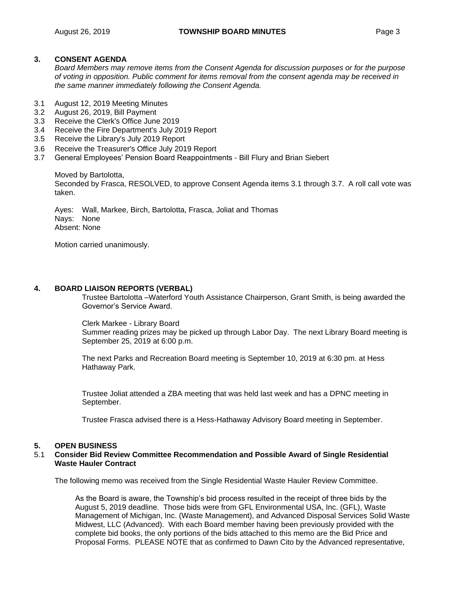### **3. CONSENT AGENDA**

*Board Members may remove items from the Consent Agenda for discussion purposes or for the purpose of voting in opposition. Public comment for items removal from the consent agenda may be received in the same manner immediately following the Consent Agenda.*

- 3.1 August 12, 2019 Meeting Minutes
- 3.2 August 26, 2019, Bill Payment
- 3.3 Receive the Clerk's Office June 2019
- 3.4 Receive the Fire Department's July 2019 Report
- 3.5 Receive the Library's July 2019 Report
- 3.6 Receive the Treasurer's Office July 2019 Report
- 3.7 General Employees' Pension Board Reappointments Bill Flury and Brian Siebert

Moved by Bartolotta, Seconded by Frasca, RESOLVED, to approve Consent Agenda items 3.1 through 3.7. A roll call vote was taken.

Ayes: Wall, Markee, Birch, Bartolotta, Frasca, Joliat and Thomas Nays: None Absent: None

Motion carried unanimously.

### **4. BOARD LIAISON REPORTS (VERBAL)**

Trustee Bartolotta –Waterford Youth Assistance Chairperson, Grant Smith, is being awarded the Governor's Service Award.

Clerk Markee - Library Board Summer reading prizes may be picked up through Labor Day. The next Library Board meeting is September 25, 2019 at 6:00 p.m.

The next Parks and Recreation Board meeting is September 10, 2019 at 6:30 pm. at Hess Hathaway Park.

Trustee Joliat attended a ZBA meeting that was held last week and has a DPNC meeting in September.

Trustee Frasca advised there is a Hess-Hathaway Advisory Board meeting in September.

#### **5. OPEN BUSINESS**

#### 5.1 **Consider Bid Review Committee Recommendation and Possible Award of Single Residential Waste Hauler Contract**

The following memo was received from the Single Residential Waste Hauler Review Committee.

As the Board is aware, the Township's bid process resulted in the receipt of three bids by the August 5, 2019 deadline. Those bids were from GFL Environmental USA, Inc. (GFL), Waste Management of Michigan, Inc. (Waste Management), and Advanced Disposal Services Solid Waste Midwest, LLC (Advanced). With each Board member having been previously provided with the complete bid books, the only portions of the bids attached to this memo are the Bid Price and Proposal Forms. PLEASE NOTE that as confirmed to Dawn Cito by the Advanced representative,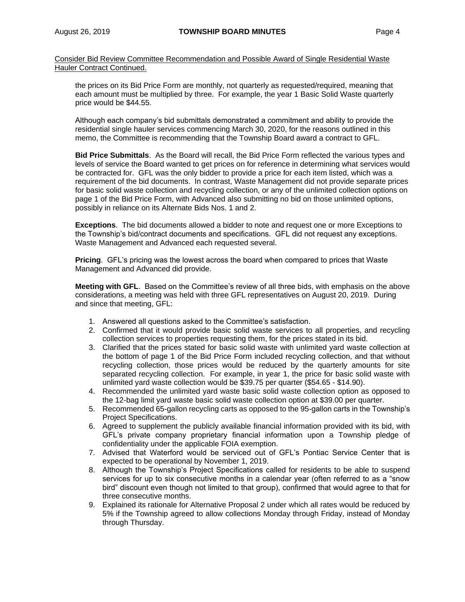Consider Bid Review Committee Recommendation and Possible Award of Single Residential Waste Hauler Contract Continued.

the prices on its Bid Price Form are monthly, not quarterly as requested/required, meaning that each amount must be multiplied by three. For example, the year 1 Basic Solid Waste quarterly price would be \$44.55.

Although each company's bid submittals demonstrated a commitment and ability to provide the residential single hauler services commencing March 30, 2020, for the reasons outlined in this memo, the Committee is recommending that the Township Board award a contract to GFL.

**Bid Price Submittals**. As the Board will recall, the Bid Price Form reflected the various types and levels of service the Board wanted to get prices on for reference in determining what services would be contracted for. GFL was the only bidder to provide a price for each item listed, which was a requirement of the bid documents. In contrast, Waste Management did not provide separate prices for basic solid waste collection and recycling collection, or any of the unlimited collection options on page 1 of the Bid Price Form, with Advanced also submitting no bid on those unlimited options, possibly in reliance on its Alternate Bids Nos. 1 and 2.

**Exceptions**. The bid documents allowed a bidder to note and request one or more Exceptions to the Township's bid/contract documents and specifications. GFL did not request any exceptions. Waste Management and Advanced each requested several.

**Pricing**. GFL's pricing was the lowest across the board when compared to prices that Waste Management and Advanced did provide.

**Meeting with GFL**. Based on the Committee's review of all three bids, with emphasis on the above considerations, a meeting was held with three GFL representatives on August 20, 2019. During and since that meeting, GFL:

- 1. Answered all questions asked to the Committee's satisfaction.
- 2. Confirmed that it would provide basic solid waste services to all properties, and recycling collection services to properties requesting them, for the prices stated in its bid.
- 3. Clarified that the prices stated for basic solid waste with unlimited yard waste collection at the bottom of page 1 of the Bid Price Form included recycling collection, and that without recycling collection, those prices would be reduced by the quarterly amounts for site separated recycling collection. For example, in year 1, the price for basic solid waste with unlimited yard waste collection would be \$39.75 per quarter (\$54.65 - \$14.90).
- 4. Recommended the unlimited yard waste basic solid waste collection option as opposed to the 12-bag limit yard waste basic solid waste collection option at \$39.00 per quarter.
- 5. Recommended 65-gallon recycling carts as opposed to the 95-gallon carts in the Township's Project Specifications.
- 6. Agreed to supplement the publicly available financial information provided with its bid, with GFL's private company proprietary financial information upon a Township pledge of confidentiality under the applicable FOIA exemption.
- 7. Advised that Waterford would be serviced out of GFL's Pontiac Service Center that is expected to be operational by November 1, 2019.
- 8. Although the Township's Project Specifications called for residents to be able to suspend services for up to six consecutive months in a calendar year (often referred to as a "snow bird" discount even though not limited to that group), confirmed that would agree to that for three consecutive months.
- 9. Explained its rationale for Alternative Proposal 2 under which all rates would be reduced by 5% if the Township agreed to allow collections Monday through Friday, instead of Monday through Thursday.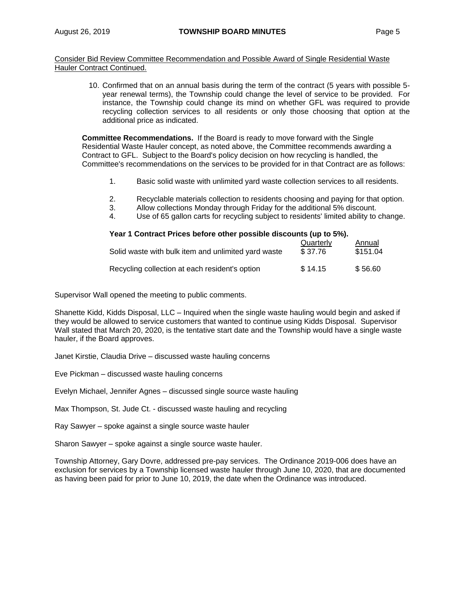Consider Bid Review Committee Recommendation and Possible Award of Single Residential Waste Hauler Contract Continued.

> 10. Confirmed that on an annual basis during the term of the contract (5 years with possible 5 year renewal terms), the Township could change the level of service to be provided. For instance, the Township could change its mind on whether GFL was required to provide recycling collection services to all residents or only those choosing that option at the additional price as indicated.

**Committee Recommendations.** If the Board is ready to move forward with the Single Residential Waste Hauler concept, as noted above, the Committee recommends awarding a Contract to GFL. Subject to the Board's policy decision on how recycling is handled, the Committee's recommendations on the services to be provided for in that Contract are as follows:

- 1. Basic solid waste with unlimited yard waste collection services to all residents.
- 2. Recyclable materials collection to residents choosing and paying for that option.
- 3. Allow collections Monday through Friday for the additional 5% discount.
- 4. Use of 65 gallon carts for recycling subject to residents' limited ability to change.

| Year 1 Contract Prices before other possible discounts (up to 5%). |                      |                    |  |  |  |  |  |
|--------------------------------------------------------------------|----------------------|--------------------|--|--|--|--|--|
| Solid waste with bulk item and unlimited yard waste                | Quarterly<br>\$37.76 | Annual<br>\$151.04 |  |  |  |  |  |
| Recycling collection at each resident's option                     | \$14.15              | \$56.60            |  |  |  |  |  |

Supervisor Wall opened the meeting to public comments.

Shanette Kidd, Kidds Disposal, LLC – Inquired when the single waste hauling would begin and asked if they would be allowed to service customers that wanted to continue using Kidds Disposal. Supervisor Wall stated that March 20, 2020, is the tentative start date and the Township would have a single waste hauler, if the Board approves.

Janet Kirstie, Claudia Drive – discussed waste hauling concerns

Eve Pickman – discussed waste hauling concerns

Evelyn Michael, Jennifer Agnes – discussed single source waste hauling

Max Thompson, St. Jude Ct. - discussed waste hauling and recycling

Ray Sawyer – spoke against a single source waste hauler

Sharon Sawyer – spoke against a single source waste hauler.

Township Attorney, Gary Dovre, addressed pre-pay services. The Ordinance 2019-006 does have an exclusion for services by a Township licensed waste hauler through June 10, 2020, that are documented as having been paid for prior to June 10, 2019, the date when the Ordinance was introduced.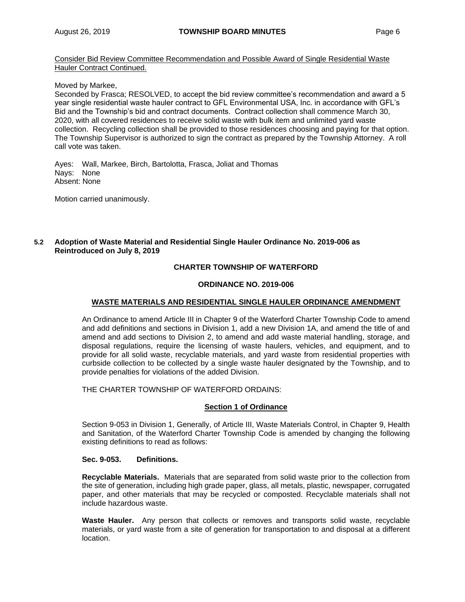Consider Bid Review Committee Recommendation and Possible Award of Single Residential Waste Hauler Contract Continued.

Moved by Markee,

Seconded by Frasca; RESOLVED, to accept the bid review committee's recommendation and award a 5 year single residential waste hauler contract to GFL Environmental USA, Inc. in accordance with GFL's Bid and the Township's bid and contract documents. Contract collection shall commence March 30, 2020, with all covered residences to receive solid waste with bulk item and unlimited yard waste collection. Recycling collection shall be provided to those residences choosing and paying for that option. The Township Supervisor is authorized to sign the contract as prepared by the Township Attorney. A roll call vote was taken.

Ayes: Wall, Markee, Birch, Bartolotta, Frasca, Joliat and Thomas Nays: None Absent: None

Motion carried unanimously.

## **5.2 Adoption of Waste Material and Residential Single Hauler Ordinance No. 2019-006 as Reintroduced on July 8, 2019**

### **CHARTER TOWNSHIP OF WATERFORD**

#### **ORDINANCE NO. 2019-006**

### **WASTE MATERIALS AND RESIDENTIAL SINGLE HAULER ORDINANCE AMENDMENT**

An Ordinance to amend Article III in Chapter 9 of the Waterford Charter Township Code to amend and add definitions and sections in Division 1, add a new Division 1A, and amend the title of and amend and add sections to Division 2, to amend and add waste material handling, storage, and disposal regulations, require the licensing of waste haulers, vehicles, and equipment, and to provide for all solid waste, recyclable materials, and yard waste from residential properties with curbside collection to be collected by a single waste hauler designated by the Township, and to provide penalties for violations of the added Division.

THE CHARTER TOWNSHIP OF WATERFORD ORDAINS:

## **Section 1 of Ordinance**

Section 9-053 in Division 1, Generally, of Article III, Waste Materials Control, in Chapter 9, Health and Sanitation, of the Waterford Charter Township Code is amended by changing the following existing definitions to read as follows:

#### **Sec. 9-053. Definitions.**

**Recyclable Materials.** Materials that are separated from solid waste prior to the collection from the site of generation, including high grade paper, glass, all metals, plastic, newspaper, corrugated paper, and other materials that may be recycled or composted. Recyclable materials shall not include hazardous waste.

**Waste Hauler.** Any person that collects or removes and transports solid waste, recyclable materials, or yard waste from a site of generation for transportation to and disposal at a different location.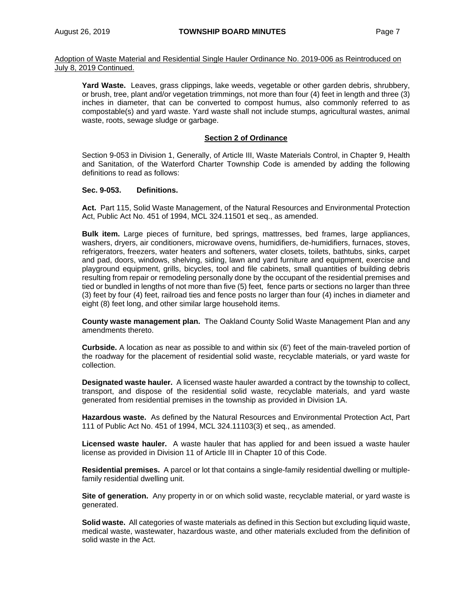**Yard Waste.** Leaves, grass clippings, lake weeds, vegetable or other garden debris, shrubbery, or brush, tree, plant and/or vegetation trimmings, not more than four (4) feet in length and three (3) inches in diameter, that can be converted to compost humus, also commonly referred to as compostable(s) and yard waste. Yard waste shall not include stumps, agricultural wastes, animal waste, roots, sewage sludge or garbage.

### **Section 2 of Ordinance**

Section 9-053 in Division 1, Generally, of Article III, Waste Materials Control, in Chapter 9, Health and Sanitation, of the Waterford Charter Township Code is amended by adding the following definitions to read as follows:

#### **Sec. 9-053. Definitions.**

**Act.** Part 115, Solid Waste Management, of the Natural Resources and Environmental Protection Act, Public Act No. 451 of 1994, MCL 324.11501 et seq., as amended.

**Bulk item.** Large pieces of furniture, bed springs, mattresses, bed frames, large appliances, washers, dryers, air conditioners, microwave ovens, humidifiers, de-humidifiers, furnaces, stoves, refrigerators, freezers, water heaters and softeners, water closets, toilets, bathtubs, sinks, carpet and pad, doors, windows, shelving, siding, lawn and yard furniture and equipment, exercise and playground equipment, grills, bicycles, tool and file cabinets, small quantities of building debris resulting from repair or remodeling personally done by the occupant of the residential premises and tied or bundled in lengths of not more than five (5) feet, fence parts or sections no larger than three (3) feet by four (4) feet, railroad ties and fence posts no larger than four (4) inches in diameter and eight (8) feet long, and other similar large household items.

**County waste management plan.** The Oakland County Solid Waste Management Plan and any amendments thereto.

**Curbside.** A location as near as possible to and within six (6') feet of the main-traveled portion of the roadway for the placement of residential solid waste, recyclable materials, or yard waste for collection.

**Designated waste hauler.** A licensed waste hauler awarded a contract by the township to collect, transport, and dispose of the residential solid waste, recyclable materials, and yard waste generated from residential premises in the township as provided in Division 1A.

**Hazardous waste.** As defined by the Natural Resources and Environmental Protection Act, Part 111 of Public Act No. 451 of 1994, MCL 324.11103(3) et seq., as amended.

**Licensed waste hauler.** A waste hauler that has applied for and been issued a waste hauler license as provided in Division 11 of Article III in Chapter 10 of this Code.

**Residential premises.** A parcel or lot that contains a single-family residential dwelling or multiplefamily residential dwelling unit.

**Site of generation.** Any property in or on which solid waste, recyclable material, or yard waste is generated.

**Solid waste.** All categories of waste materials as defined in this Section but excluding liquid waste, medical waste, wastewater, hazardous waste, and other materials excluded from the definition of solid waste in the Act.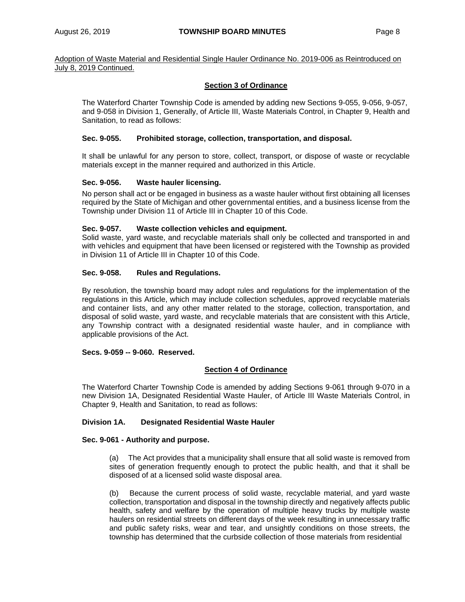### **Section 3 of Ordinance**

The Waterford Charter Township Code is amended by adding new Sections 9-055, 9-056, 9-057, and 9-058 in Division 1, Generally, of Article III, Waste Materials Control, in Chapter 9, Health and Sanitation, to read as follows:

### **Sec. 9-055. Prohibited storage, collection, transportation, and disposal.**

It shall be unlawful for any person to store, collect, transport, or dispose of waste or recyclable materials except in the manner required and authorized in this Article.

#### **Sec. 9-056. Waste hauler licensing.**

No person shall act or be engaged in business as a waste hauler without first obtaining all licenses required by the State of Michigan and other governmental entities, and a business license from the Township under Division 11 of Article III in Chapter 10 of this Code.

#### **Sec. 9-057. Waste collection vehicles and equipment.**

Solid waste, yard waste, and recyclable materials shall only be collected and transported in and with vehicles and equipment that have been licensed or registered with the Township as provided in Division 11 of Article III in Chapter 10 of this Code.

### **Sec. 9-058. Rules and Regulations.**

By resolution, the township board may adopt rules and regulations for the implementation of the regulations in this Article, which may include collection schedules, approved recyclable materials and container lists, and any other matter related to the storage, collection, transportation, and disposal of solid waste, yard waste, and recyclable materials that are consistent with this Article, any Township contract with a designated residential waste hauler, and in compliance with applicable provisions of the Act.

#### **Secs. 9-059 -- 9-060. Reserved.**

#### **Section 4 of Ordinance**

The Waterford Charter Township Code is amended by adding Sections 9-061 through 9-070 in a new Division 1A, Designated Residential Waste Hauler, of Article III Waste Materials Control, in Chapter 9, Health and Sanitation, to read as follows:

### **Division 1A. Designated Residential Waste Hauler**

#### **Sec. 9-061 - Authority and purpose.**

(a) The Act provides that a municipality shall ensure that all solid waste is removed from sites of generation frequently enough to protect the public health, and that it shall be disposed of at a licensed solid waste disposal area.

(b) Because the current process of solid waste, recyclable material, and yard waste collection, transportation and disposal in the township directly and negatively affects public health, safety and welfare by the operation of multiple heavy trucks by multiple waste haulers on residential streets on different days of the week resulting in unnecessary traffic and public safety risks, wear and tear, and unsightly conditions on those streets, the township has determined that the curbside collection of those materials from residential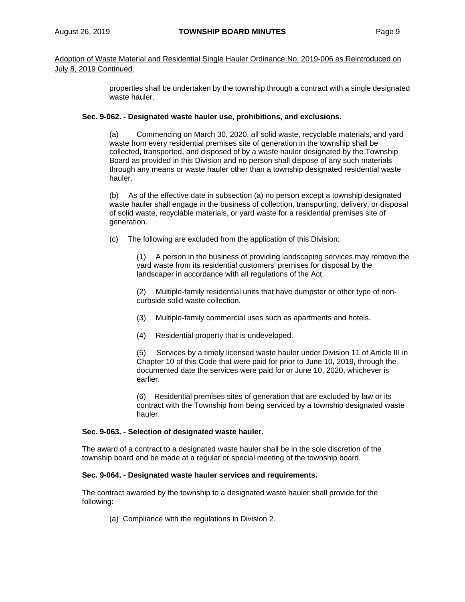properties shall be undertaken by the township through a contract with a single designated waste hauler.

### **Sec. 9-062. - Designated waste hauler use, prohibitions, and exclusions.**

(a) Commencing on March 30, 2020, all solid waste, recyclable materials, and yard waste from every residential premises site of generation in the township shall be collected, transported, and disposed of by a waste hauler designated by the Township Board as provided in this Division and no person shall dispose of any such materials through any means or waste hauler other than a township designated residential waste hauler.

(b) As of the effective date in subsection (a) no person except a township designated waste hauler shall engage in the business of collection, transporting, delivery, or disposal of solid waste, recyclable materials, or yard waste for a residential premises site of generation.

(c) The following are excluded from the application of this Division:

(1) A person in the business of providing landscaping services may remove the yard waste from its residential customers' premises for disposal by the landscaper in accordance with all regulations of the Act.

(2) Multiple-family residential units that have dumpster or other type of noncurbside solid waste collection.

- (3) Multiple-family commercial uses such as apartments and hotels.
- (4) Residential property that is undeveloped.

(5) Services by a timely licensed waste hauler under Division 11 of Article III in Chapter 10 of this Code that were paid for prior to June 10, 2019, through the documented date the services were paid for or June 10, 2020, whichever is earlier.

(6) Residential premises sites of generation that are excluded by law or its contract with the Township from being serviced by a township designated waste hauler.

#### **Sec. 9-063. - Selection of designated waste hauler.**

The award of a contract to a designated waste hauler shall be in the sole discretion of the township board and be made at a regular or special meeting of the township board.

#### **Sec. 9-064. - Designated waste hauler services and requirements.**

The contract awarded by the township to a designated waste hauler shall provide for the following:

(a) Compliance with the regulations in Division 2.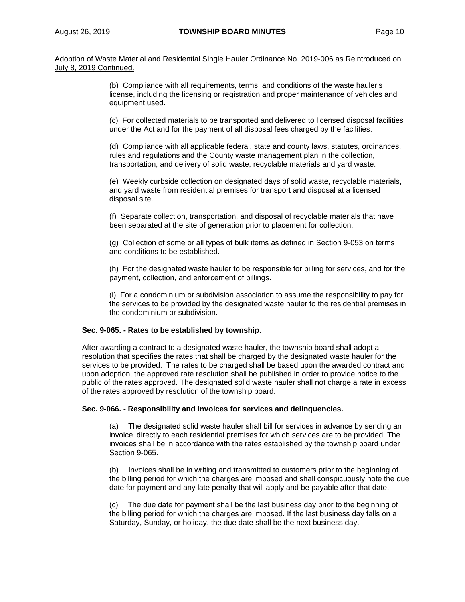> (b) Compliance with all requirements, terms, and conditions of the waste hauler's license, including the licensing or registration and proper maintenance of vehicles and equipment used.

(c) For collected materials to be transported and delivered to licensed disposal facilities under the Act and for the payment of all disposal fees charged by the facilities.

(d) Compliance with all applicable federal, state and county laws, statutes, ordinances, rules and regulations and the County waste management plan in the collection, transportation, and delivery of solid waste, recyclable materials and yard waste.

(e) Weekly curbside collection on designated days of solid waste, recyclable materials, and yard waste from residential premises for transport and disposal at a licensed disposal site.

(f) Separate collection, transportation, and disposal of recyclable materials that have been separated at the site of generation prior to placement for collection.

(g) Collection of some or all types of bulk items as defined in Section 9-053 on terms and conditions to be established.

(h) For the designated waste hauler to be responsible for billing for services, and for the payment, collection, and enforcement of billings.

(i) For a condominium or subdivision association to assume the responsibility to pay for the services to be provided by the designated waste hauler to the residential premises in the condominium or subdivision.

#### **Sec. 9-065. - Rates to be established by township.**

After awarding a contract to a designated waste hauler, the township board shall adopt a resolution that specifies the rates that shall be charged by the designated waste hauler for the services to be provided. The rates to be charged shall be based upon the awarded contract and upon adoption, the approved rate resolution shall be published in order to provide notice to the public of the rates approved. The designated solid waste hauler shall not charge a rate in excess of the rates approved by resolution of the township board.

#### **Sec. 9-066. - Responsibility and invoices for services and delinquencies.**

(a) The designated solid waste hauler shall bill for services in advance by sending an invoice directly to each residential premises for which services are to be provided. The invoices shall be in accordance with the rates established by the township board under Section 9-065.

(b) Invoices shall be in writing and transmitted to customers prior to the beginning of the billing period for which the charges are imposed and shall conspicuously note the due date for payment and any late penalty that will apply and be payable after that date.

(c) The due date for payment shall be the last business day prior to the beginning of the billing period for which the charges are imposed. If the last business day falls on a Saturday, Sunday, or holiday, the due date shall be the next business day.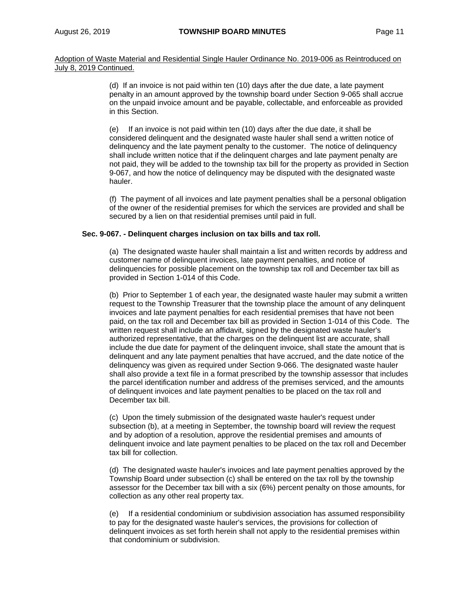> (d) If an invoice is not paid within ten (10) days after the due date, a late payment penalty in an amount approved by the township board under Section 9-065 shall accrue on the unpaid invoice amount and be payable, collectable, and enforceable as provided in this Section.

(e) If an invoice is not paid within ten (10) days after the due date, it shall be considered delinquent and the designated waste hauler shall send a written notice of delinquency and the late payment penalty to the customer. The notice of delinquency shall include written notice that if the delinquent charges and late payment penalty are not paid, they will be added to the township tax bill for the property as provided in Section 9-067, and how the notice of delinquency may be disputed with the designated waste hauler.

(f) The payment of all invoices and late payment penalties shall be a personal obligation of the owner of the residential premises for which the services are provided and shall be secured by a lien on that residential premises until paid in full.

#### **Sec. 9-067. - Delinquent charges inclusion on tax bills and tax roll.**

(a) The designated waste hauler shall maintain a list and written records by address and customer name of delinquent invoices, late payment penalties, and notice of delinquencies for possible placement on the township tax roll and December tax bill as provided in Section 1-014 of this Code.

(b) Prior to September 1 of each year, the designated waste hauler may submit a written request to the Township Treasurer that the township place the amount of any delinquent invoices and late payment penalties for each residential premises that have not been paid, on the tax roll and December tax bill as provided in Section 1-014 of this Code. The written request shall include an affidavit, signed by the designated waste hauler's authorized representative, that the charges on the delinquent list are accurate, shall include the due date for payment of the delinquent invoice, shall state the amount that is delinquent and any late payment penalties that have accrued, and the date notice of the delinquency was given as required under Section 9-066. The designated waste hauler shall also provide a text file in a format prescribed by the township assessor that includes the parcel identification number and address of the premises serviced, and the amounts of delinquent invoices and late payment penalties to be placed on the tax roll and December tax bill.

(c) Upon the timely submission of the designated waste hauler's request under subsection (b), at a meeting in September, the township board will review the request and by adoption of a resolution, approve the residential premises and amounts of delinquent invoice and late payment penalties to be placed on the tax roll and December tax bill for collection.

(d) The designated waste hauler's invoices and late payment penalties approved by the Township Board under subsection (c) shall be entered on the tax roll by the township assessor for the December tax bill with a six (6%) percent penalty on those amounts, for collection as any other real property tax.

(e) If a residential condominium or subdivision association has assumed responsibility to pay for the designated waste hauler's services, the provisions for collection of delinquent invoices as set forth herein shall not apply to the residential premises within that condominium or subdivision.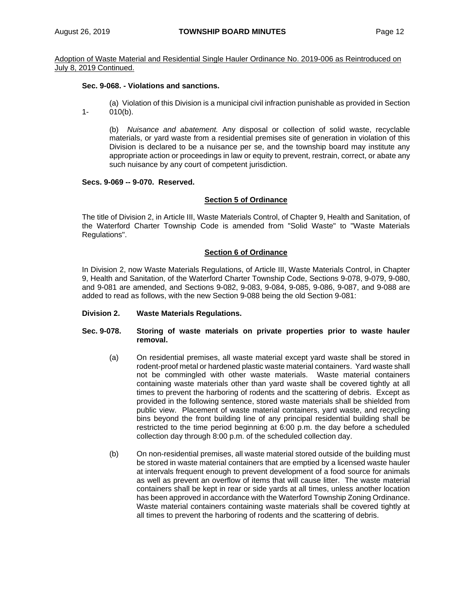### **Sec. 9-068. - Violations and sanctions.**

(a) Violation of this Division is a municipal civil infraction punishable as provided in Section 1- 010(b).

(b) *Nuisance and abatement.* Any disposal or collection of solid waste, recyclable materials, or yard waste from a residential premises site of generation in violation of this Division is declared to be a nuisance per se, and the township board may institute any appropriate action or proceedings in law or equity to prevent, restrain, correct, or abate any such nuisance by any court of competent jurisdiction.

### **Secs. 9-069 -- 9-070. Reserved.**

#### **Section 5 of Ordinance**

The title of Division 2, in Article III, Waste Materials Control, of Chapter 9, Health and Sanitation, of the Waterford Charter Township Code is amended from "Solid Waste" to "Waste Materials Regulations".

### **Section 6 of Ordinance**

In Division 2, now Waste Materials Regulations, of Article III, Waste Materials Control, in Chapter 9, Health and Sanitation, of the Waterford Charter Township Code, Sections 9-078, 9-079, 9-080, and 9-081 are amended, and Sections 9-082, 9-083, 9-084, 9-085, 9-086, 9-087, and 9-088 are added to read as follows, with the new Section 9-088 being the old Section 9-081:

#### **Division 2. Waste Materials Regulations.**

- **Sec. 9-078. Storing of waste materials on private properties prior to waste hauler removal.**
	- (a) On residential premises, all waste material except yard waste shall be stored in rodent-proof metal or hardened plastic waste material containers. Yard waste shall not be commingled with other waste materials. Waste material containers containing waste materials other than yard waste shall be covered tightly at all times to prevent the harboring of rodents and the scattering of debris. Except as provided in the following sentence, stored waste materials shall be shielded from public view. Placement of waste material containers, yard waste, and recycling bins beyond the front building line of any principal residential building shall be restricted to the time period beginning at 6:00 p.m. the day before a scheduled collection day through 8:00 p.m. of the scheduled collection day.
	- (b) On non-residential premises, all waste material stored outside of the building must be stored in waste material containers that are emptied by a licensed waste hauler at intervals frequent enough to prevent development of a food source for animals as well as prevent an overflow of items that will cause litter. The waste material containers shall be kept in rear or side yards at all times, unless another location has been approved in accordance with the Waterford Township Zoning Ordinance. Waste material containers containing waste materials shall be covered tightly at all times to prevent the harboring of rodents and the scattering of debris.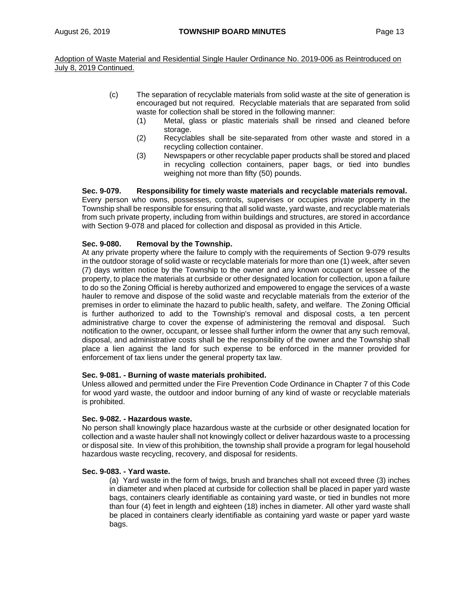- (c) The separation of recyclable materials from solid waste at the site of generation is encouraged but not required. Recyclable materials that are separated from solid waste for collection shall be stored in the following manner:
	- (1) Metal, glass or plastic materials shall be rinsed and cleaned before storage.
	- (2) Recyclables shall be site-separated from other waste and stored in a recycling collection container.
	- (3) Newspapers or other recyclable paper products shall be stored and placed in recycling collection containers, paper bags, or tied into bundles weighing not more than fifty (50) pounds.

### **Sec. 9-079. Responsibility for timely waste materials and recyclable materials removal.**

Every person who owns, possesses, controls, supervises or occupies private property in the Township shall be responsible for ensuring that all solid waste, yard waste, and recyclable materials from such private property, including from within buildings and structures, are stored in accordance with Section 9-078 and placed for collection and disposal as provided in this Article.

### **Sec. 9-080. Removal by the Township.**

At any private property where the failure to comply with the requirements of Section 9-079 results in the outdoor storage of solid waste or recyclable materials for more than one (1) week, after seven (7) days written notice by the Township to the owner and any known occupant or lessee of the property, to place the materials at curbside or other designated location for collection, upon a failure to do so the Zoning Official is hereby authorized and empowered to engage the services of a waste hauler to remove and dispose of the solid waste and recyclable materials from the exterior of the premises in order to eliminate the hazard to public health, safety, and welfare. The Zoning Official is further authorized to add to the Township's removal and disposal costs, a ten percent administrative charge to cover the expense of administering the removal and disposal. Such notification to the owner, occupant, or lessee shall further inform the owner that any such removal, disposal, and administrative costs shall be the responsibility of the owner and the Township shall place a lien against the land for such expense to be enforced in the manner provided for enforcement of tax liens under the general property tax law.

#### **Sec. 9-081. - Burning of waste materials prohibited.**

Unless allowed and permitted under the Fire Prevention Code Ordinance in Chapter 7 of this Code for wood yard waste, the outdoor and indoor burning of any kind of waste or recyclable materials is prohibited.

#### **Sec. 9-082. - Hazardous waste.**

No person shall knowingly place hazardous waste at the curbside or other designated location for collection and a waste hauler shall not knowingly collect or deliver hazardous waste to a processing or disposal site. In view of this prohibition, the township shall provide a program for legal household hazardous waste recycling, recovery, and disposal for residents.

#### **Sec. 9-083. - Yard waste.**

(a) Yard waste in the form of twigs, brush and branches shall not exceed three (3) inches in diameter and when placed at curbside for collection shall be placed in paper yard waste bags, containers clearly identifiable as containing yard waste, or tied in bundles not more than four (4) feet in length and eighteen (18) inches in diameter. All other yard waste shall be placed in containers clearly identifiable as containing yard waste or paper yard waste bags.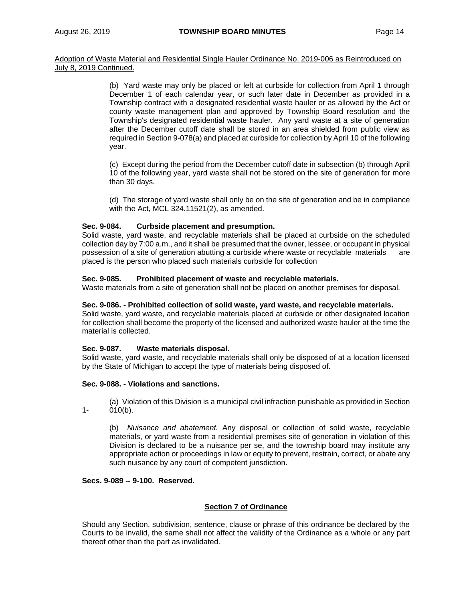> (b) Yard waste may only be placed or left at curbside for collection from April 1 through December 1 of each calendar year, or such later date in December as provided in a Township contract with a designated residential waste hauler or as allowed by the Act or county waste management plan and approved by Township Board resolution and the Township's designated residential waste hauler. Any yard waste at a site of generation after the December cutoff date shall be stored in an area shielded from public view as required in Section 9-078(a) and placed at curbside for collection by April 10 of the following year.

> (c) Except during the period from the December cutoff date in subsection (b) through April 10 of the following year, yard waste shall not be stored on the site of generation for more than 30 days.

> (d) The storage of yard waste shall only be on the site of generation and be in compliance with the Act, MCL 324.11521(2), as amended.

#### **Sec. 9-084. Curbside placement and presumption.**

Solid waste, yard waste, and recyclable materials shall be placed at curbside on the scheduled collection day by 7:00 a.m., and it shall be presumed that the owner, lessee, or occupant in physical possession of a site of generation abutting a curbside where waste or recyclable materials are placed is the person who placed such materials curbside for collection

#### **Sec. 9-085. Prohibited placement of waste and recyclable materials.**

Waste materials from a site of generation shall not be placed on another premises for disposal.

#### **Sec. 9-086. - Prohibited collection of solid waste, yard waste, and recyclable materials.**

Solid waste, yard waste, and recyclable materials placed at curbside or other designated location for collection shall become the property of the licensed and authorized waste hauler at the time the material is collected.

### **Sec. 9-087. Waste materials disposal.**

Solid waste, yard waste, and recyclable materials shall only be disposed of at a location licensed by the State of Michigan to accept the type of materials being disposed of.

#### **Sec. 9-088. - Violations and sanctions.**

(a) Violation of this Division is a municipal civil infraction punishable as provided in Section 1- 010(b).

(b) *Nuisance and abatement.* Any disposal or collection of solid waste, recyclable materials, or yard waste from a residential premises site of generation in violation of this Division is declared to be a nuisance per se, and the township board may institute any appropriate action or proceedings in law or equity to prevent, restrain, correct, or abate any such nuisance by any court of competent jurisdiction.

## **Secs. 9-089 -- 9-100. Reserved.**

#### **Section 7 of Ordinance**

Should any Section, subdivision, sentence, clause or phrase of this ordinance be declared by the Courts to be invalid, the same shall not affect the validity of the Ordinance as a whole or any part thereof other than the part as invalidated.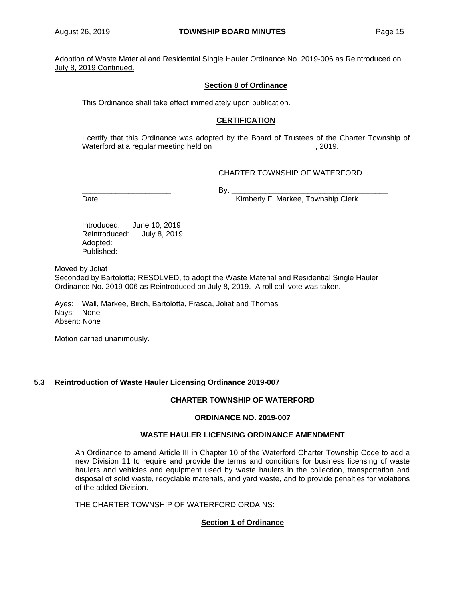## **Section 8 of Ordinance**

This Ordinance shall take effect immediately upon publication.

### **CERTIFICATION**

I certify that this Ordinance was adopted by the Board of Trustees of the Charter Township of Waterford at a regular meeting held on \_\_\_\_\_\_\_\_\_\_\_\_\_\_\_\_\_\_\_\_\_\_\_\_\_\_\_, 2019.

### CHARTER TOWNSHIP OF WATERFORD

\_\_\_\_\_\_\_\_\_\_\_\_\_\_\_\_\_\_\_\_\_ By: \_\_\_\_\_\_\_\_\_\_\_\_\_\_\_\_\_\_\_\_\_\_\_\_\_\_\_\_\_\_\_\_\_\_\_\_\_

Date **Contract Contract Contract Contract Contract Contract Contract Contract Contract Contract Contract Contract Contract Contract Contract Contract Contract Contract Contract Contract Contract Contract Contract Contract** 

Introduced: June 10, 2019 Reintroduced: July 8, 2019 Adopted: Published:

Moved by Joliat

Seconded by Bartolotta; RESOLVED, to adopt the Waste Material and Residential Single Hauler Ordinance No. 2019-006 as Reintroduced on July 8, 2019. A roll call vote was taken.

Ayes: Wall, Markee, Birch, Bartolotta, Frasca, Joliat and Thomas Nays: None Absent: None

Motion carried unanimously.

#### **5.3 Reintroduction of Waste Hauler Licensing Ordinance 2019-007**

#### **CHARTER TOWNSHIP OF WATERFORD**

#### **ORDINANCE NO. 2019-007**

#### **WASTE HAULER LICENSING ORDINANCE AMENDMENT**

An Ordinance to amend Article III in Chapter 10 of the Waterford Charter Township Code to add a new Division 11 to require and provide the terms and conditions for business licensing of waste haulers and vehicles and equipment used by waste haulers in the collection, transportation and disposal of solid waste, recyclable materials, and yard waste, and to provide penalties for violations of the added Division.

THE CHARTER TOWNSHIP OF WATERFORD ORDAINS:

#### **Section 1 of Ordinance**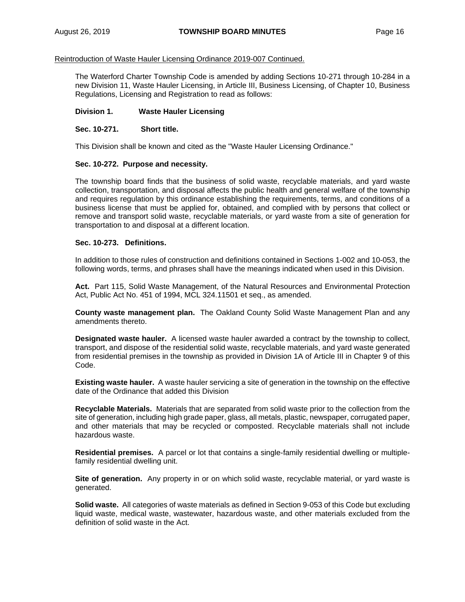The Waterford Charter Township Code is amended by adding Sections 10-271 through 10-284 in a new Division 11, Waste Hauler Licensing, in Article III, Business Licensing, of Chapter 10, Business Regulations, Licensing and Registration to read as follows:

#### **Division 1. Waste Hauler Licensing**

#### **Sec. 10-271. Short title.**

This Division shall be known and cited as the "Waste Hauler Licensing Ordinance."

#### **Sec. 10-272. Purpose and necessity.**

The township board finds that the business of solid waste, recyclable materials, and yard waste collection, transportation, and disposal affects the public health and general welfare of the township and requires regulation by this ordinance establishing the requirements, terms, and conditions of a business license that must be applied for, obtained, and complied with by persons that collect or remove and transport solid waste, recyclable materials, or yard waste from a site of generation for transportation to and disposal at a different location.

#### **Sec. 10-273. Definitions.**

In addition to those rules of construction and definitions contained in Sections 1-002 and 10-053, the following words, terms, and phrases shall have the meanings indicated when used in this Division.

Act. Part 115, Solid Waste Management, of the Natural Resources and Environmental Protection Act, Public Act No. 451 of 1994, MCL 324.11501 et seq., as amended.

**County waste management plan.** The Oakland County Solid Waste Management Plan and any amendments thereto.

**Designated waste hauler.** A licensed waste hauler awarded a contract by the township to collect, transport, and dispose of the residential solid waste, recyclable materials, and yard waste generated from residential premises in the township as provided in Division 1A of Article III in Chapter 9 of this Code.

**Existing waste hauler.** A waste hauler servicing a site of generation in the township on the effective date of the Ordinance that added this Division

**Recyclable Materials.** Materials that are separated from solid waste prior to the collection from the site of generation, including high grade paper, glass, all metals, plastic, newspaper, corrugated paper, and other materials that may be recycled or composted. Recyclable materials shall not include hazardous waste.

**Residential premises.** A parcel or lot that contains a single-family residential dwelling or multiplefamily residential dwelling unit.

**Site of generation.** Any property in or on which solid waste, recyclable material, or yard waste is generated.

**Solid waste.** All categories of waste materials as defined in Section 9-053 of this Code but excluding liquid waste, medical waste, wastewater, hazardous waste, and other materials excluded from the definition of solid waste in the Act.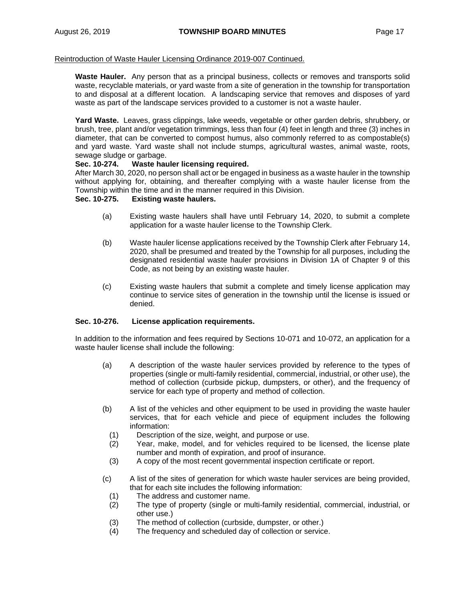**Waste Hauler.** Any person that as a principal business, collects or removes and transports solid waste, recyclable materials, or yard waste from a site of generation in the township for transportation to and disposal at a different location. A landscaping service that removes and disposes of yard waste as part of the landscape services provided to a customer is not a waste hauler.

**Yard Waste.** Leaves, grass clippings, lake weeds, vegetable or other garden debris, shrubbery, or brush, tree, plant and/or vegetation trimmings, less than four (4) feet in length and three (3) inches in diameter, that can be converted to compost humus, also commonly referred to as compostable(s) and yard waste. Yard waste shall not include stumps, agricultural wastes, animal waste, roots, sewage sludge or garbage.

### **Sec. 10-274. Waste hauler licensing required.**

After March 30, 2020, no person shall act or be engaged in business as a waste hauler in the township without applying for, obtaining, and thereafter complying with a waste hauler license from the Township within the time and in the manner required in this Division.

#### **Sec. 10-275. Existing waste haulers.**

- (a) Existing waste haulers shall have until February 14, 2020, to submit a complete application for a waste hauler license to the Township Clerk.
- (b) Waste hauler license applications received by the Township Clerk after February 14, 2020, shall be presumed and treated by the Township for all purposes, including the designated residential waste hauler provisions in Division 1A of Chapter 9 of this Code, as not being by an existing waste hauler.
- (c) Existing waste haulers that submit a complete and timely license application may continue to service sites of generation in the township until the license is issued or denied.

#### **Sec. 10-276. License application requirements.**

In addition to the information and fees required by Sections 10-071 and 10-072, an application for a waste hauler license shall include the following:

- (a) A description of the waste hauler services provided by reference to the types of properties (single or multi-family residential, commercial, industrial, or other use), the method of collection (curbside pickup, dumpsters, or other), and the frequency of service for each type of property and method of collection.
- (b) A list of the vehicles and other equipment to be used in providing the waste hauler services, that for each vehicle and piece of equipment includes the following information:
	- (1) Description of the size, weight, and purpose or use.
	- (2) Year, make, model, and for vehicles required to be licensed, the license plate number and month of expiration, and proof of insurance.
	- (3) A copy of the most recent governmental inspection certificate or report.
- (c) A list of the sites of generation for which waste hauler services are being provided, that for each site includes the following information:
	- (1) The address and customer name.
	- (2) The type of property (single or multi-family residential, commercial, industrial, or other use.)
	- (3) The method of collection (curbside, dumpster, or other.)
	- (4) The frequency and scheduled day of collection or service.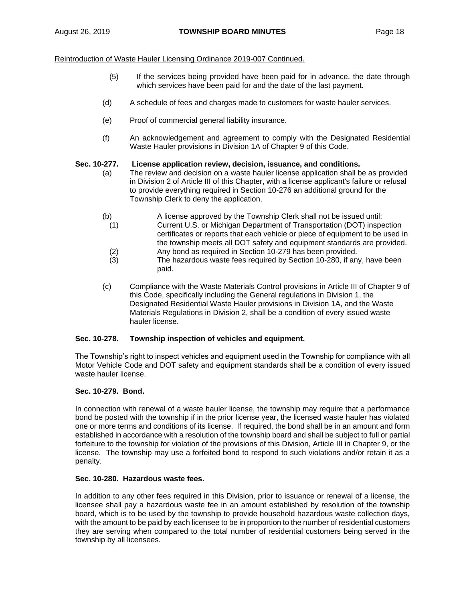- (5) If the services being provided have been paid for in advance, the date through which services have been paid for and the date of the last payment.
- (d) A schedule of fees and charges made to customers for waste hauler services.
- (e) Proof of commercial general liability insurance.
- (f) An acknowledgement and agreement to comply with the Designated Residential Waste Hauler provisions in Division 1A of Chapter 9 of this Code.

## **Sec. 10-277. License application review, decision, issuance, and conditions.**

- (a) The review and decision on a waste hauler license application shall be as provided in Division 2 of Article III of this Chapter, with a license applicant's failure or refusal to provide everything required in Section 10-276 an additional ground for the Township Clerk to deny the application.
- (b) A license approved by the Township Clerk shall not be issued until:
- (1) Current U.S. or Michigan Department of Transportation (DOT) inspection certificates or reports that each vehicle or piece of equipment to be used in the township meets all DOT safety and equipment standards are provided.
- (2) Any bond as required in Section 10-279 has been provided.<br>(3) The hazardous waste fees required by Section 10-280, if an
- The hazardous waste fees required by Section 10-280, if any, have been paid.
- (c) Compliance with the Waste Materials Control provisions in Article III of Chapter 9 of this Code, specifically including the General regulations in Division 1, the Designated Residential Waste Hauler provisions in Division 1A, and the Waste Materials Regulations in Division 2, shall be a condition of every issued waste hauler license.

## **Sec. 10-278. Township inspection of vehicles and equipment.**

The Township's right to inspect vehicles and equipment used in the Township for compliance with all Motor Vehicle Code and DOT safety and equipment standards shall be a condition of every issued waste hauler license.

## **Sec. 10-279. Bond.**

In connection with renewal of a waste hauler license, the township may require that a performance bond be posted with the township if in the prior license year, the licensed waste hauler has violated one or more terms and conditions of its license. If required, the bond shall be in an amount and form established in accordance with a resolution of the township board and shall be subject to full or partial forfeiture to the township for violation of the provisions of this Division, Article III in Chapter 9, or the license. The township may use a forfeited bond to respond to such violations and/or retain it as a penalty.

#### **Sec. 10-280. Hazardous waste fees.**

In addition to any other fees required in this Division, prior to issuance or renewal of a license, the licensee shall pay a hazardous waste fee in an amount established by resolution of the township board, which is to be used by the township to provide household hazardous waste collection days, with the amount to be paid by each licensee to be in proportion to the number of residential customers they are serving when compared to the total number of residential customers being served in the township by all licensees.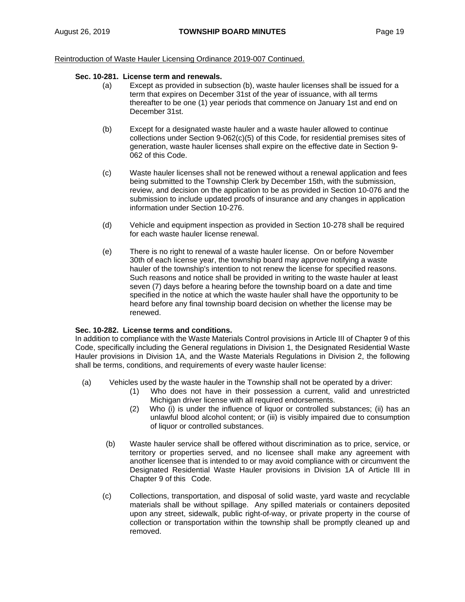### **Sec. 10-281. License term and renewals.**

- (a) Except as provided in subsection (b), waste hauler licenses shall be issued for a term that expires on December 31st of the year of issuance, with all terms thereafter to be one (1) year periods that commence on January 1st and end on December 31st.
- (b) Except for a designated waste hauler and a waste hauler allowed to continue collections under Section 9-062(c)(5) of this Code, for residential premises sites of generation, waste hauler licenses shall expire on the effective date in Section 9- 062 of this Code.
- (c) Waste hauler licenses shall not be renewed without a renewal application and fees being submitted to the Township Clerk by December 15th, with the submission, review, and decision on the application to be as provided in Section 10-076 and the submission to include updated proofs of insurance and any changes in application information under Section 10-276.
- (d) Vehicle and equipment inspection as provided in Section 10-278 shall be required for each waste hauler license renewal.
- (e) There is no right to renewal of a waste hauler license. On or before November 30th of each license year, the township board may approve notifying a waste hauler of the township's intention to not renew the license for specified reasons. Such reasons and notice shall be provided in writing to the waste hauler at least seven (7) days before a hearing before the township board on a date and time specified in the notice at which the waste hauler shall have the opportunity to be heard before any final township board decision on whether the license may be renewed.

### **Sec. 10-282. License terms and conditions.**

In addition to compliance with the Waste Materials Control provisions in Article III of Chapter 9 of this Code, specifically including the General regulations in Division 1, the Designated Residential Waste Hauler provisions in Division 1A, and the Waste Materials Regulations in Division 2, the following shall be terms, conditions, and requirements of every waste hauler license:

- (a) Vehicles used by the waste hauler in the Township shall not be operated by a driver:
	- (1) Who does not have in their possession a current, valid and unrestricted Michigan driver license with all required endorsements.
	- (2) Who (i) is under the influence of liquor or controlled substances; (ii) has an unlawful blood alcohol content; or (iii) is visibly impaired due to consumption of liquor or controlled substances.
	- (b) Waste hauler service shall be offered without discrimination as to price, service, or territory or properties served, and no licensee shall make any agreement with another licensee that is intended to or may avoid compliance with or circumvent the Designated Residential Waste Hauler provisions in Division 1A of Article III in Chapter 9 of this Code.
	- (c) Collections, transportation, and disposal of solid waste, yard waste and recyclable materials shall be without spillage. Any spilled materials or containers deposited upon any street, sidewalk, public right-of-way, or private property in the course of collection or transportation within the township shall be promptly cleaned up and removed.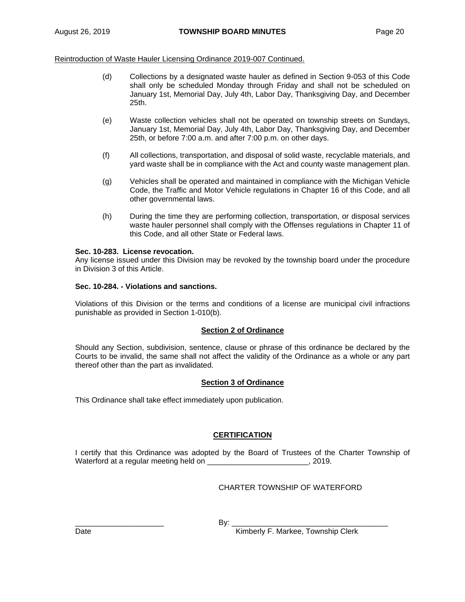- (d) Collections by a designated waste hauler as defined in Section 9-053 of this Code shall only be scheduled Monday through Friday and shall not be scheduled on January 1st, Memorial Day, July 4th, Labor Day, Thanksgiving Day, and December 25th.
- (e) Waste collection vehicles shall not be operated on township streets on Sundays, January 1st, Memorial Day, July 4th, Labor Day, Thanksgiving Day, and December 25th, or before 7:00 a.m. and after 7:00 p.m. on other days.
- (f) All collections, transportation, and disposal of solid waste, recyclable materials, and yard waste shall be in compliance with the Act and county waste management plan.
- (g) Vehicles shall be operated and maintained in compliance with the Michigan Vehicle Code, the Traffic and Motor Vehicle regulations in Chapter 16 of this Code, and all other governmental laws.
- (h) During the time they are performing collection, transportation, or disposal services waste hauler personnel shall comply with the Offenses regulations in Chapter 11 of this Code, and all other State or Federal laws.

### **Sec. 10-283. License revocation.**

Any license issued under this Division may be revoked by the township board under the procedure in Division 3 of this Article.

### **Sec. 10-284. - Violations and sanctions.**

Violations of this Division or the terms and conditions of a license are municipal civil infractions punishable as provided in Section 1-010(b).

## **Section 2 of Ordinance**

Should any Section, subdivision, sentence, clause or phrase of this ordinance be declared by the Courts to be invalid, the same shall not affect the validity of the Ordinance as a whole or any part thereof other than the part as invalidated.

#### **Section 3 of Ordinance**

This Ordinance shall take effect immediately upon publication.

## **CERTIFICATION**

I certify that this Ordinance was adopted by the Board of Trustees of the Charter Township of Waterford at a regular meeting held on \_\_\_\_\_\_\_\_\_\_\_\_\_\_\_\_\_\_\_\_\_\_\_\_, 2019.

## CHARTER TOWNSHIP OF WATERFORD

\_\_\_\_\_\_\_\_\_\_\_\_\_\_\_\_\_\_\_\_\_ By: \_\_\_\_\_\_\_\_\_\_\_\_\_\_\_\_\_\_\_\_\_\_\_\_\_\_\_\_\_\_\_\_\_\_\_\_\_

Date **Kimberly F. Markee, Township Clerk**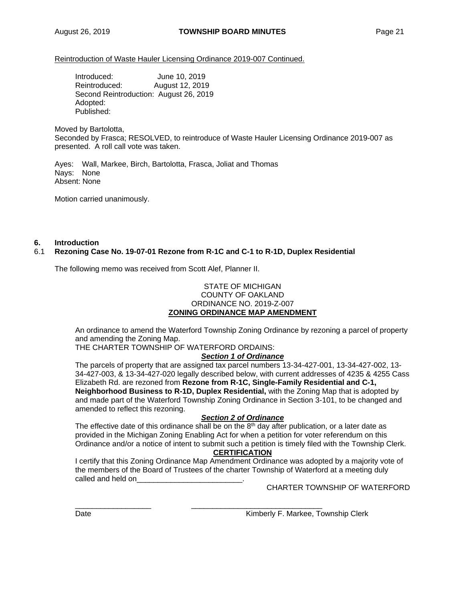Introduced: June 10, 2019 Reintroduced: August 12, 2019 Second Reintroduction: August 26, 2019 Adopted: Published:

Moved by Bartolotta,

Seconded by Frasca; RESOLVED, to reintroduce of Waste Hauler Licensing Ordinance 2019-007 as presented. A roll call vote was taken.

Ayes: Wall, Markee, Birch, Bartolotta, Frasca, Joliat and Thomas Nays: None Absent: None

Motion carried unanimously.

#### **6. Introduction**

### 6.1 **Rezoning Case No. 19-07-01 Rezone from R-1C and C-1 to R-1D, Duplex Residential**

The following memo was received from Scott Alef, Planner II.

#### STATE OF MICHIGAN COUNTY OF OAKLAND ORDINANCE NO. 2019-Z-007 **ZONING ORDINANCE MAP AMENDMENT**

An ordinance to amend the Waterford Township Zoning Ordinance by rezoning a parcel of property and amending the Zoning Map.

THE CHARTER TOWNSHIP OF WATERFORD ORDAINS:

#### *Section 1 of Ordinance*

The parcels of property that are assigned tax parcel numbers 13-34-427-001, 13-34-427-002, 13- 34-427-003, & 13-34-427-020 legally described below, with current addresses of 4235 & 4255 Cass Elizabeth Rd. are rezoned from **Rezone from R-1C, Single-Family Residential and C-1, Neighborhood Business to R-1D, Duplex Residential,** with the Zoning Map that is adopted by and made part of the Waterford Township Zoning Ordinance in Section 3-101, to be changed and amended to reflect this rezoning.

#### *Section 2 of Ordinance*

The effective date of this ordinance shall be on the  $8<sup>th</sup>$  day after publication, or a later date as provided in the Michigan Zoning Enabling Act for when a petition for voter referendum on this Ordinance and/or a notice of intent to submit such a petition is timely filed with the Township Clerk.

### **CERTIFICATION**

I certify that this Zoning Ordinance Map Amendment Ordinance was adopted by a majority vote of the members of the Board of Trustees of the charter Township of Waterford at a meeting duly called and held on

\_\_\_\_\_\_\_\_\_\_\_\_\_\_\_\_\_\_ \_\_\_\_\_\_\_\_\_\_\_\_\_\_\_\_\_\_\_\_\_\_\_\_\_\_\_\_\_\_\_

CHARTER TOWNSHIP OF WATERFORD

Date **Contract Contract Contract Contract Contract Contract Contract Contract Contract Contract Contract Contract Contract Contract Contract Contract Contract Contract Contract Contract Contract Contract Contract Contract**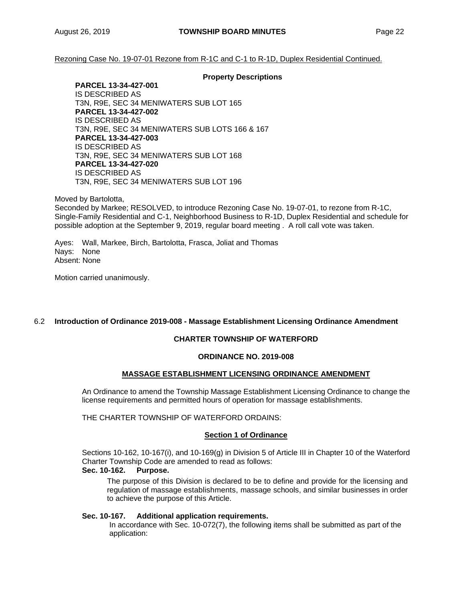Rezoning Case No. 19-07-01 Rezone from R-1C and C-1 to R-1D, Duplex Residential Continued.

#### **Property Descriptions**

**PARCEL 13-34-427-001**  IS DESCRIBED AS T3N, R9E, SEC 34 MENIWATERS SUB LOT 165 **PARCEL 13-34-427-002**  IS DESCRIBED AS T3N, R9E, SEC 34 MENIWATERS SUB LOTS 166 & 167 **PARCEL 13-34-427-003**  IS DESCRIBED AS T3N, R9E, SEC 34 MENIWATERS SUB LOT 168 **PARCEL 13-34-427-020**  IS DESCRIBED AS T3N, R9E, SEC 34 MENIWATERS SUB LOT 196

Moved by Bartolotta,

Seconded by Markee; RESOLVED, to introduce Rezoning Case No. 19-07-01, to rezone from R-1C, Single-Family Residential and C-1, Neighborhood Business to R-1D, Duplex Residential and schedule for possible adoption at the September 9, 2019, regular board meeting . A roll call vote was taken.

Ayes: Wall, Markee, Birch, Bartolotta, Frasca, Joliat and Thomas Nays: None Absent: None

Motion carried unanimously.

## 6.2 **Introduction of Ordinance 2019-008 - Massage Establishment Licensing Ordinance Amendment**

## **CHARTER TOWNSHIP OF WATERFORD**

#### **ORDINANCE NO. 2019-008**

## **MASSAGE ESTABLISHMENT LICENSING ORDINANCE AMENDMENT**

An Ordinance to amend the Township Massage Establishment Licensing Ordinance to change the license requirements and permitted hours of operation for massage establishments.

THE CHARTER TOWNSHIP OF WATERFORD ORDAINS:

#### **Section 1 of Ordinance**

Sections 10-162, 10-167(i), and 10-169(g) in Division 5 of Article III in Chapter 10 of the Waterford Charter Township Code are amended to read as follows:

# **Sec. 10-162. Purpose.**

The purpose of this Division is declared to be to define and provide for the licensing and regulation of massage establishments, massage schools, and similar businesses in order to achieve the purpose of this Article.

#### **Sec. 10-167. Additional application requirements.**

In accordance with Sec. 10-072(7), the following items shall be submitted as part of the application: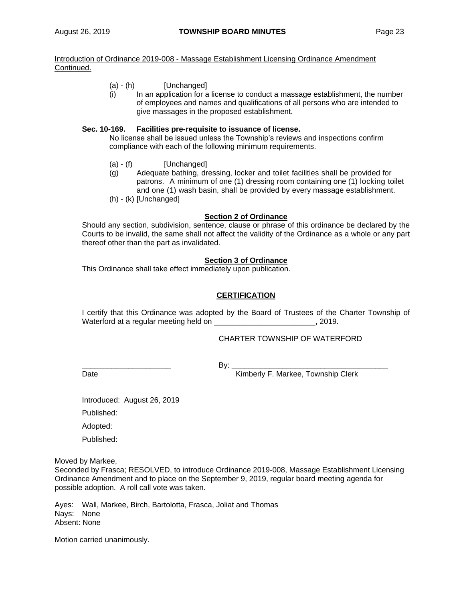### Introduction of Ordinance 2019-008 - Massage Establishment Licensing Ordinance Amendment Continued.

- (a) (h) [Unchanged]
- (i) In an application for a license to conduct a massage establishment, the number of employees and names and qualifications of all persons who are intended to give massages in the proposed establishment.

### **Sec. 10-169. Facilities pre-requisite to issuance of license.**

No license shall be issued unless the Township's reviews and inspections confirm compliance with each of the following minimum requirements.

- $(a) (f)$  [Unchanged]
- (g) Adequate bathing, dressing, locker and toilet facilities shall be provided for patrons. A minimum of one (1) dressing room containing one (1) locking toilet and one (1) wash basin, shall be provided by every massage establishment.
- (h) (k) [Unchanged]

## **Section 2 of Ordinance**

Should any section, subdivision, sentence, clause or phrase of this ordinance be declared by the Courts to be invalid, the same shall not affect the validity of the Ordinance as a whole or any part thereof other than the part as invalidated.

### **Section 3 of Ordinance**

This Ordinance shall take effect immediately upon publication.

## **CERTIFICATION**

I certify that this Ordinance was adopted by the Board of Trustees of the Charter Township of Waterford at a regular meeting held on \_\_\_\_\_\_\_\_\_\_\_\_\_\_\_\_\_\_\_\_\_\_\_\_\_\_\_\_, 2019.

CHARTER TOWNSHIP OF WATERFORD

\_\_\_\_\_\_\_\_\_\_\_\_\_\_\_\_\_\_\_\_\_ By: \_\_\_\_\_\_\_\_\_\_\_\_\_\_\_\_\_\_\_\_\_\_\_\_\_\_\_\_\_\_\_\_\_\_\_\_\_

Date **Date Example 2 CONFIDENTIFY F. Markee, Township Clerk** 

Introduced: August 26, 2019

Published:

Adopted:

Published:

Moved by Markee,

Seconded by Frasca; RESOLVED, to introduce Ordinance 2019-008, Massage Establishment Licensing Ordinance Amendment and to place on the September 9, 2019, regular board meeting agenda for possible adoption. A roll call vote was taken.

Ayes: Wall, Markee, Birch, Bartolotta, Frasca, Joliat and Thomas Nays: None Absent: None

Motion carried unanimously.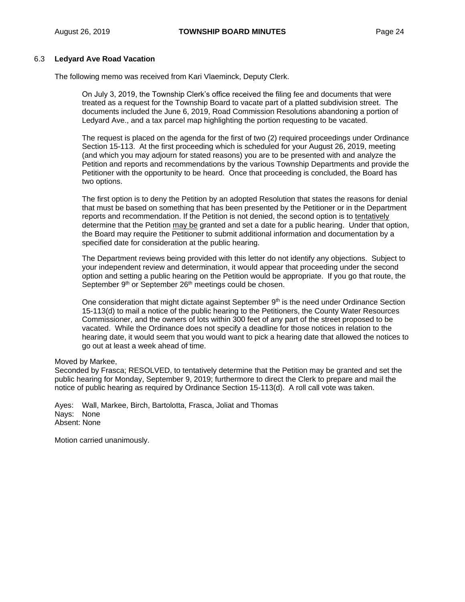### 6.3 **Ledyard Ave Road Vacation**

The following memo was received from Kari Vlaeminck, Deputy Clerk.

On July 3, 2019, the Township Clerk's office received the filing fee and documents that were treated as a request for the Township Board to vacate part of a platted subdivision street. The documents included the June 6, 2019, Road Commission Resolutions abandoning a portion of Ledyard Ave., and a tax parcel map highlighting the portion requesting to be vacated.

The request is placed on the agenda for the first of two (2) required proceedings under Ordinance Section 15-113. At the first proceeding which is scheduled for your August 26, 2019, meeting (and which you may adjourn for stated reasons) you are to be presented with and analyze the Petition and reports and recommendations by the various Township Departments and provide the Petitioner with the opportunity to be heard. Once that proceeding is concluded, the Board has two options.

The first option is to deny the Petition by an adopted Resolution that states the reasons for denial that must be based on something that has been presented by the Petitioner or in the Department reports and recommendation. If the Petition is not denied, the second option is to tentatively determine that the Petition may be granted and set a date for a public hearing. Under that option, the Board may require the Petitioner to submit additional information and documentation by a specified date for consideration at the public hearing.

The Department reviews being provided with this letter do not identify any objections. Subject to your independent review and determination, it would appear that proceeding under the second option and setting a public hearing on the Petition would be appropriate. If you go that route, the September 9<sup>th</sup> or September 26<sup>th</sup> meetings could be chosen.

One consideration that might dictate against September  $9<sup>th</sup>$  is the need under Ordinance Section 15-113(d) to mail a notice of the public hearing to the Petitioners, the County Water Resources Commissioner, and the owners of lots within 300 feet of any part of the street proposed to be vacated. While the Ordinance does not specify a deadline for those notices in relation to the hearing date, it would seem that you would want to pick a hearing date that allowed the notices to go out at least a week ahead of time.

#### Moved by Markee,

Seconded by Frasca; RESOLVED, to tentatively determine that the Petition may be granted and set the public hearing for Monday, September 9, 2019; furthermore to direct the Clerk to prepare and mail the notice of public hearing as required by Ordinance Section 15-113(d). A roll call vote was taken.

Ayes: Wall, Markee, Birch, Bartolotta, Frasca, Joliat and Thomas Nays: None Absent: None

Motion carried unanimously.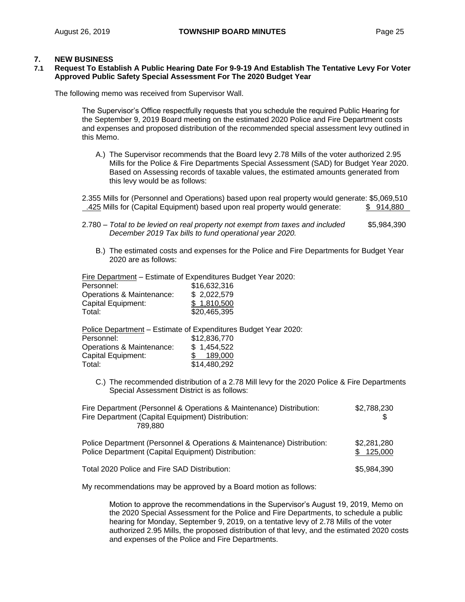### **7. NEW BUSINESS**

#### **7.1 Request To Establish A Public Hearing Date For 9-9-19 And Establish The Tentative Levy For Voter Approved Public Safety Special Assessment For The 2020 Budget Year**

The following memo was received from Supervisor Wall.

The Supervisor's Office respectfully requests that you schedule the required Public Hearing for the September 9, 2019 Board meeting on the estimated 2020 Police and Fire Department costs and expenses and proposed distribution of the recommended special assessment levy outlined in this Memo.

A.) The Supervisor recommends that the Board levy 2.78 Mills of the voter authorized 2.95 Mills for the Police & Fire Departments Special Assessment (SAD) for Budget Year 2020. Based on Assessing records of taxable values, the estimated amounts generated from this levy would be as follows:

2.355 Mills for (Personnel and Operations) based upon real property would generate: \$5,069,510 .425 Mills for (Capital Equipment) based upon real property would generate: \$ 914,880

- 2.780 *Total to be levied on real property not exempt from taxes and included* \$5,984,390  *December 2019 Tax bills to fund operational year 2020.*
	- B.) The estimated costs and expenses for the Police and Fire Departments for Budget Year 2020 are as follows:

Fire Department – Estimate of Expenditures Budget Year 2020:

| Personnel:                | \$16,632,316 |
|---------------------------|--------------|
| Operations & Maintenance: | \$2,022,579  |
| Capital Equipment:        | \$1.810,500  |
| Total:                    | \$20,465,395 |

Police Department - Estimate of Expenditures Budget Year 2020:

| Personnel:                | \$12,836,770 |
|---------------------------|--------------|
| Operations & Maintenance: | \$1,454,522  |
| <b>Capital Equipment:</b> | 189,000      |
| Total:                    | \$14,480,292 |

C.) The recommended distribution of a 2.78 Mill levy for the 2020 Police & Fire Departments Special Assessment District is as follows:

| Fire Department (Personnel & Operations & Maintenance) Distribution:<br>Fire Department (Capital Equipment) Distribution:<br>789.880 | \$2,788,230              |  |  |
|--------------------------------------------------------------------------------------------------------------------------------------|--------------------------|--|--|
| Police Department (Personnel & Operations & Maintenance) Distribution:<br>Police Department (Capital Equipment) Distribution:        | \$2,281,280<br>\$125,000 |  |  |
| Total 2020 Police and Fire SAD Distribution:                                                                                         | \$5,984,390              |  |  |

My recommendations may be approved by a Board motion as follows:

Motion to approve the recommendations in the Supervisor's August 19, 2019, Memo on the 2020 Special Assessment for the Police and Fire Departments, to schedule a public hearing for Monday, September 9, 2019, on a tentative levy of 2.78 Mills of the voter authorized 2.95 Mills, the proposed distribution of that levy, and the estimated 2020 costs and expenses of the Police and Fire Departments.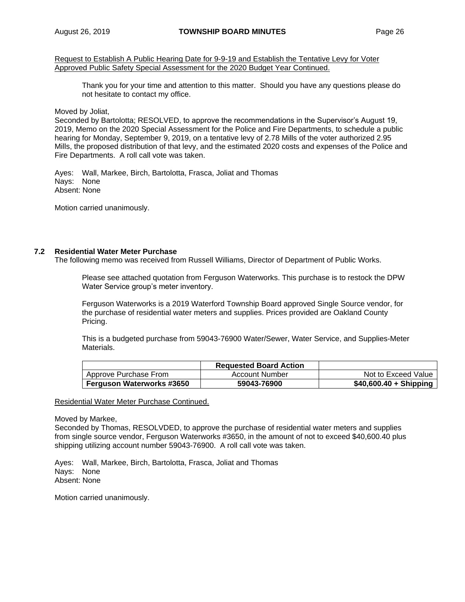Request to Establish A Public Hearing Date for 9-9-19 and Establish the Tentative Levy for Voter Approved Public Safety Special Assessment for the 2020 Budget Year Continued.

Thank you for your time and attention to this matter. Should you have any questions please do not hesitate to contact my office.

Moved by Joliat,

Seconded by Bartolotta; RESOLVED, to approve the recommendations in the Supervisor's August 19, 2019, Memo on the 2020 Special Assessment for the Police and Fire Departments, to schedule a public hearing for Monday, September 9, 2019, on a tentative levy of 2.78 Mills of the voter authorized 2.95 Mills, the proposed distribution of that levy, and the estimated 2020 costs and expenses of the Police and Fire Departments. A roll call vote was taken.

Ayes: Wall, Markee, Birch, Bartolotta, Frasca, Joliat and Thomas Nays: None Absent: None

Motion carried unanimously.

### **7.2 Residential Water Meter Purchase**

The following memo was received from Russell Williams, Director of Department of Public Works.

Please see attached quotation from Ferguson Waterworks. This purchase is to restock the DPW Water Service group's meter inventory.

Ferguson Waterworks is a 2019 Waterford Township Board approved Single Source vendor, for the purchase of residential water meters and supplies. Prices provided are Oakland County Pricing.

This is a budgeted purchase from 59043-76900 Water/Sewer, Water Service, and Supplies-Meter Materials.

|                                  | <b>Requested Board Action</b> |                         |
|----------------------------------|-------------------------------|-------------------------|
| Approve Purchase From            | Account Number                | Not to Exceed Value     |
| <b>Ferguson Waterworks #3650</b> | 59043-76900                   | $$40,600.40 + Shipping$ |

#### Residential Water Meter Purchase Continued.

Moved by Markee,

Seconded by Thomas, RESOLVDED, to approve the purchase of residential water meters and supplies from single source vendor, Ferguson Waterworks #3650, in the amount of not to exceed \$40,600.40 plus shipping utilizing account number 59043-76900. A roll call vote was taken.

Ayes: Wall, Markee, Birch, Bartolotta, Frasca, Joliat and Thomas Nays: None Absent: None

Motion carried unanimously.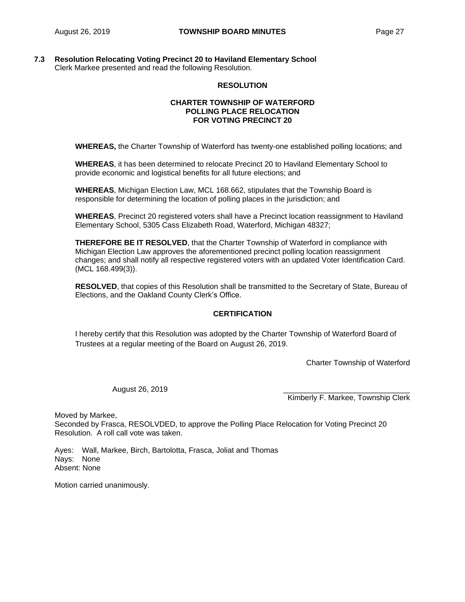### **7.3 Resolution Relocating Voting Precinct 20 to Haviland Elementary School** Clerk Markee presented and read the following Resolution.

### **RESOLUTION**

### **CHARTER TOWNSHIP OF WATERFORD POLLING PLACE RELOCATION FOR VOTING PRECINCT 20**

**WHEREAS,** the Charter Township of Waterford has twenty-one established polling locations; and

**WHEREAS**, it has been determined to relocate Precinct 20 to Haviland Elementary School to provide economic and logistical benefits for all future elections; and

**WHEREAS**, Michigan Election Law, MCL 168.662, stipulates that the Township Board is responsible for determining the location of polling places in the jurisdiction; and

**WHEREAS**, Precinct 20 registered voters shall have a Precinct location reassignment to Haviland Elementary School, 5305 Cass Elizabeth Road, Waterford, Michigan 48327;

**THEREFORE BE IT RESOLVED**, that the Charter Township of Waterford in compliance with Michigan Election Law approves the aforementioned precinct polling location reassignment changes; and shall notify all respective registered voters with an updated Voter Identification Card. (MCL 168.499(3)).

**RESOLVED**, that copies of this Resolution shall be transmitted to the Secretary of State, Bureau of Elections, and the Oakland County Clerk's Office.

## **CERTIFICATION**

I hereby certify that this Resolution was adopted by the Charter Township of Waterford Board of Trustees at a regular meeting of the Board on August 26, 2019.

Charter Township of Waterford

August 26, 2019

Kimberly F. Markee, Township Clerk

Moved by Markee, Seconded by Frasca, RESOLVDED, to approve the Polling Place Relocation for Voting Precinct 20 Resolution. A roll call vote was taken.

Ayes: Wall, Markee, Birch, Bartolotta, Frasca, Joliat and Thomas Nays: None Absent: None

Motion carried unanimously.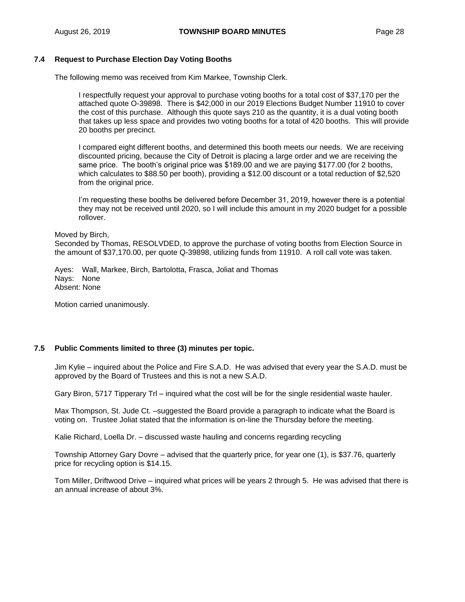## **7.4 Request to Purchase Election Day Voting Booths**

The following memo was received from Kim Markee, Township Clerk.

I respectfully request your approval to purchase voting booths for a total cost of \$37,170 per the attached quote O-39898. There is \$42,000 in our 2019 Elections Budget Number 11910 to cover the cost of this purchase. Although this quote says 210 as the quantity, it is a dual voting booth that takes up less space and provides two voting booths for a total of 420 booths. This will provide 20 booths per precinct.

I compared eight different booths, and determined this booth meets our needs. We are receiving discounted pricing, because the City of Detroit is placing a large order and we are receiving the same price. The booth's original price was \$189.00 and we are paying \$177.00 (for 2 booths, which calculates to \$88.50 per booth), providing a \$12.00 discount or a total reduction of \$2,520 from the original price.

I'm requesting these booths be delivered before December 31, 2019, however there is a potential they may not be received until 2020, so I will include this amount in my 2020 budget for a possible rollover.

#### Moved by Birch,

Seconded by Thomas, RESOLVDED, to approve the purchase of voting booths from Election Source in the amount of \$37,170.00, per quote Q-39898, utilizing funds from 11910. A roll call vote was taken.

Ayes: Wall, Markee, Birch, Bartolotta, Frasca, Joliat and Thomas Nays: None Absent: None

Motion carried unanimously.

#### **7.5 Public Comments limited to three (3) minutes per topic.**

Jim Kylie – inquired about the Police and Fire S.A.D. He was advised that every year the S.A.D. must be approved by the Board of Trustees and this is not a new S.A.D.

Gary Biron, 5717 Tipperary Trl – inquired what the cost will be for the single residential waste hauler.

Max Thompson, St. Jude Ct. –suggested the Board provide a paragraph to indicate what the Board is voting on. Trustee Joliat stated that the information is on-line the Thursday before the meeting.

Kalie Richard, Loella Dr. – discussed waste hauling and concerns regarding recycling

Township Attorney Gary Dovre – advised that the quarterly price, for year one (1), is \$37.76, quarterly price for recycling option is \$14.15.

Tom Miller, Driftwood Drive – inquired what prices will be years 2 through 5. He was advised that there is an annual increase of about 3%.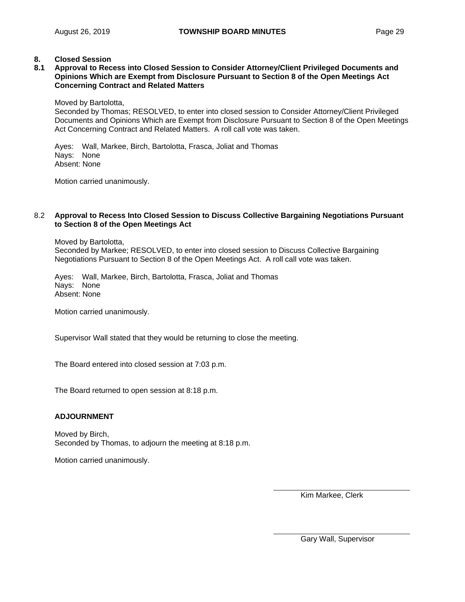## **8. Closed Session**

#### **8.1 Approval to Recess into Closed Session to Consider Attorney/Client Privileged Documents and Opinions Which are Exempt from Disclosure Pursuant to Section 8 of the Open Meetings Act Concerning Contract and Related Matters**

Moved by Bartolotta,

Seconded by Thomas; RESOLVED, to enter into closed session to Consider Attorney/Client Privileged Documents and Opinions Which are Exempt from Disclosure Pursuant to Section 8 of the Open Meetings Act Concerning Contract and Related Matters. A roll call vote was taken.

Ayes: Wall, Markee, Birch, Bartolotta, Frasca, Joliat and Thomas Nays: None Absent: None

Motion carried unanimously.

#### 8.2 **Approval to Recess Into Closed Session to Discuss Collective Bargaining Negotiations Pursuant to Section 8 of the Open Meetings Act**

Moved by Bartolotta, Seconded by Markee; RESOLVED, to enter into closed session to Discuss Collective Bargaining Negotiations Pursuant to Section 8 of the Open Meetings Act. A roll call vote was taken.

Ayes: Wall, Markee, Birch, Bartolotta, Frasca, Joliat and Thomas Nays: None Absent: None

Motion carried unanimously.

Supervisor Wall stated that they would be returning to close the meeting.

The Board entered into closed session at 7:03 p.m.

The Board returned to open session at 8:18 p.m.

#### **ADJOURNMENT**

Moved by Birch, Seconded by Thomas, to adjourn the meeting at 8:18 p.m.

Motion carried unanimously.

Kim Markee, Clerk

Gary Wall, Supervisor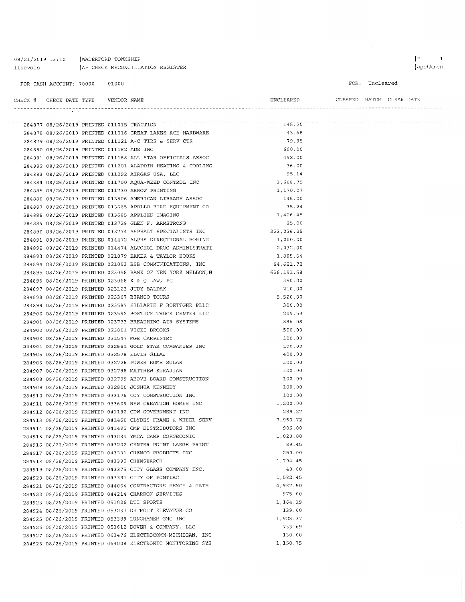WATERFORD TOWNSHIP 08/21/2019 13:10 llievois AP CHECK RECONCILIATION REGISTER

284903 08/26/2019 PRINTED 031547 MGE CARPENTRY

284906 08/26/2019 PRINTED 032726 POWER HOME SOLAR

284907 08/26/2019 PRINTED 032798 MATTHEW KURAJIAN

284909 08/26/2019 PRINTED 032800 JOSHUA KENNEDY

284905 08/26/2019 PRINTED 032578 ELVIS GILAJ

284904 08/26/2019 PRINTED 032551 GOLD STAR COMPANIES INC

284908 08/26/2019 PRINTED 032799 ABOVE BOARD CONSTRUCTION

284910 08/26/2019 PRINTED 033176 COY CONSTRUCTION INC

284912 08/26/2019 PRINTED 041192 CDW GOVERNMENT INC

284914 08/26/2019 PRINTED 041495 CMP DISTRIBUTORS INC

284915 08/26/2019 PRINTED 043034 YMCA CAMP COPNECONIC 284916 08/26/2019 PRINTED 043202 CENTER POINT LARGE PRINT

284917 08/26/2019 PRINTED 043331 CHEMCO PRODUCTS INC

284924 08/26/2019 PRINTED 053237 DETROIT ELEVATOR CO 284925 08/26/2019 PRINTED 053389 LUNGHAMER GMC INC

284926 08/26/2019 PRINTED 053612 DOVER & COMPANY, LLC

284927 08/26/2019 PRINTED 063476 ELECTROCOMM-MICHIGAN, INC

284928 08/26/2019 PRINTED 064008 ELECTRONIC MONITORING SYS

284920 08/26/2019 PRINTED 043381 CITY OF PONTIAC

284919 08/26/2019 PRINTED 043375 CITY GLASS COMPANY INC.

284921 08/26/2019 PRINTED 044064 CONTRACTORS FENCE & GATE 284922 08/26/2019 PRINTED 044214 CHARRON SERVICES

284918 08/26/2019 PRINTED 043335 CHEMSEARCH

284923 08/26/2019 PRINTED 051026 DTI SPORTS

284911 08/26/2019 PRINTED 033609 NEW CREATION HOMES INC

284913 08/26/2019 PRINTED 041460 CLYDES FRAME & WHEEL SERV

 $= -$ 

FOR: Uncleared

CLEARED BATCH CLEAR DATE

#### CHECK # CHECK DATE TYPE VENDOR NAME

|                                          |  |                                                             |            | 284877 08/26/2019 PRINTED 011015 TRACTION 145.20 |
|------------------------------------------|--|-------------------------------------------------------------|------------|--------------------------------------------------|
|                                          |  | 284878 08/26/2019 PRINTED 011016 GREAT LAKES ACE HARDWARE   | 43.68      |                                                  |
|                                          |  | 284879 08/26/2019 PRINTED 011121 A-C TIRE & SERV CTR        | 79.95      |                                                  |
| 284880 08/26/2019 PRINTED 011182 ADE INC |  |                                                             | 600.00     |                                                  |
|                                          |  | 284881 08/26/2019 PRINTED 011188 ALL STAR OFFICIALS ASSOC   | 492.00     |                                                  |
|                                          |  | 284882 08/26/2019 PRINTED 011201 ALADDIN HEATING & COOLING  | 36.00      |                                                  |
|                                          |  | 284883 08/26/2019 PRINTED 011292 AIRGAS USA, LLC            | 95.14      |                                                  |
|                                          |  | 284884 08/26/2019 PRINTED 011700 AQUA-WEED CONTROL INC      | 3,668.75   |                                                  |
|                                          |  | 284885 08/26/2019 PRINTED 011730 ARROW PRINTING             | 1,170.07   |                                                  |
|                                          |  | 284886 08/26/2019 PRINTED 013506 AMERICAN LIBRARY ASSOC     | 145.00     |                                                  |
|                                          |  | 284887 08/26/2019 PRINTED 013665 APOLLO FIRE EQUIPMENT CO   | 35.24      |                                                  |
|                                          |  | 284888 08/26/2019 PRINTED 013685 APPLIED IMAGING            | 1,426.45   |                                                  |
|                                          |  | 284889 08/26/2019 PRINTED 013728 GLEN F. ARMSTRONG          | 25.00      |                                                  |
|                                          |  | 284890 08/26/2019 PRINTED 013774 ASPHALT SPECIALISTS INC    | 323,036.25 |                                                  |
|                                          |  | 284891 08/26/2019 PRINTED 014472 ALPHA DIRECTIONAL BORING   | 1,000.00   |                                                  |
|                                          |  | 284892 08/26/2019 PRINTED 014474 ALCOHOL DRUG ADMINISTRATI  | 2,032.00   |                                                  |
|                                          |  | 284893 08/26/2019 PRINTED 021079 BAKER & TAYLOR BOOKS       | 1,885.64   |                                                  |
|                                          |  | 284894 08/26/2019 PRINTED 021093 BSB COMMUNICATIONS, INC    | 64,621.72  |                                                  |
|                                          |  | 284895 08/26/2019 PRINTED 023058 BANK OF NEW YORK MELLON, N | 626,191.58 |                                                  |
|                                          |  | 284896 08/26/2019 PRINTED 023068 K & Q LAW, PC              | 350.00     |                                                  |
|                                          |  | 284897 08/26/2019 PRINTED 023123 JUDY BALDAK                | 210.00     |                                                  |
|                                          |  | 284898 08/26/2019 PRINTED 023367 BIANCO TOURS               | 5,520.00   |                                                  |
|                                          |  | 284899 08/26/2019 PRINTED 023587 HILLARIE F BOETTGER PLLC   | 300.00     |                                                  |
|                                          |  | 284900 08/26/2019 PRINTED 023592 BOSTICK TRUCK CENTER LLC   | 209.59     |                                                  |
|                                          |  | 284901 08/26/2019 PRINTED 023733 BREATHING AIR SYSTEMS      | 886.08     |                                                  |
|                                          |  | 284902 08/26/2019 PRINTED 023801 VICKI BROOKS               | 500.00     |                                                  |

**INCLEARED** 

100.00

100.00

 $400,00$ 

100.00

100.00

100.00

100.00

100.00

289.27

905.00 1,020.00

89.45

250.00

 $40.00$ 

1,794.45

1,582.45 4,987.50

975.00 1,164.19

139.00

733.69

130.00

1,150.75

1,928.37

 $1,200.00$ 

7,950.72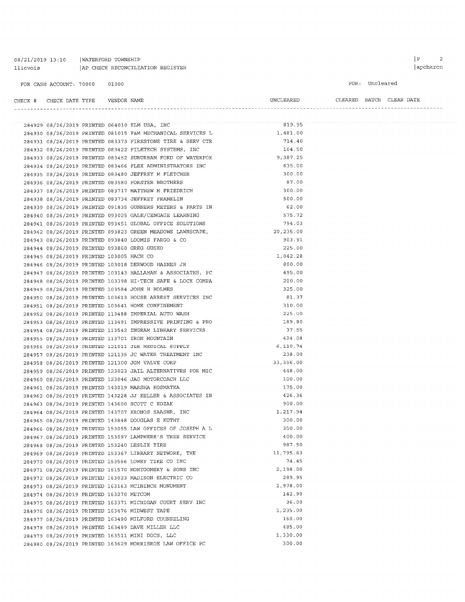08/21/2019 13:10 | WATERFORD TOWNSHIP 11ievois | AP CHECK RECONCILIATION REGISTER

FOR CASH ACCOUNT: 70000 01000

FOR: Uncleared

| CHECK | CHECK DATE TYPE | VENDOR NAME | UNCLEARED | CLEARED | BATCH | CLEAR DATE |
|-------|-----------------|-------------|-----------|---------|-------|------------|
|       |                 |             |           |         |       |            |

|  |                                             |  | 284929 08/26/2019 PRINTED 064010 ELM USA, INC                                                               | 819.95    |  |
|--|---------------------------------------------|--|-------------------------------------------------------------------------------------------------------------|-----------|--|
|  |                                             |  | 284930 08/26/2019 PRINTED 081015 F&M MECHANICAL SERVICES L                                                  | 1,481.00  |  |
|  |                                             |  | 284931 08/26/2019 PRINTED 083373 FIRESTONE TIRE & SERV CTR                                                  | 714.40    |  |
|  |                                             |  | 284932 08/26/2019 PRINTED 083422 FILETECH SYSTEMS, INC                                                      | 104.50    |  |
|  |                                             |  | 284933 08/26/2019 PRINTED 083452 SUBURBAN FORD OF WATERFOR                                                  | 9,387.25  |  |
|  |                                             |  | 284934 08/26/2019 PRINTED 083466 FLEX ADMINISTRATORS INC                                                    | 635.00    |  |
|  |                                             |  | 284935 08/26/2019 PRINTED 083480 JEFFREY M FLETCHER                                                         | 300.00    |  |
|  |                                             |  | 284936 08/26/2019 PRINTED 083580 FORSTER BROTHERS                                                           | 87.00     |  |
|  |                                             |  | 284937 08/26/2019 PRINTED 083717 MATTHEW M FRIEDRICH                                                        | 300.00    |  |
|  |                                             |  | 284938 08/26/2019 PRINTED 083734 JEFFREY FRANKLIN                                                           | 500.00    |  |
|  |                                             |  | 284939 08/26/2019 PRINTED 091835 GUNNERS METERS & PARTS IN                                                  | 62.00     |  |
|  |                                             |  | 284940 08/26/2019 PRINTED 093025 GALE/CENGAGE LEARNING                                                      | 575.72    |  |
|  |                                             |  | 284941 08/26/2019 PRINTED 093451 GLOBAL OFFICE SOLUTIONS                                                    | 794.03    |  |
|  |                                             |  | 284942 08/26/2019 PRINTED 093823 GREEN MEADOWS LAWNSCAPE,                                                   | 20,235.00 |  |
|  |                                             |  | 284943 08/26/2019 PRINTED 093840 LOOMIS FARGO & CO                                                          | 903.91    |  |
|  | 284944 08/26/2019 PRINTED 093860 GREG GUSKO |  |                                                                                                             | 225.00    |  |
|  | 284945 08/26/2019 PRINTED 103005 HACH CO    |  |                                                                                                             | 1,042.28  |  |
|  |                                             |  | 284946 08/26/2019 PRINTED 103018 DERWOOD HAINES JR                                                          | 800.00    |  |
|  |                                             |  | 284947 08/26/2019 PRINTED 103143 HALLAHAN & ASSOCIATES, PC                                                  | 495.00    |  |
|  |                                             |  | 284948 08/26/2019 PRINTED 103398 HI-TECH SAFE & LOCK COMPA                                                  | 200.00    |  |
|  |                                             |  | 284949 08/26/2019 PRINTED 103584 JOHN H HOLMES                                                              | 325.00    |  |
|  |                                             |  | 284950 08/26/2019 PRINTED 103613 HOUSE ARREST SERVICES INC                                                  | 81.37     |  |
|  |                                             |  | 284951 08/26/2019 PRINTED 103641 HOME CONFINEMENT                                                           | 310.00    |  |
|  |                                             |  | 284952 08/26/2019 PRINTED 113488 IMPERIAL AUTO WASH                                                         | 225.00    |  |
|  |                                             |  | 284953 08/26/2019 PRINTED 113491 IMPRESSIVE PRINTING & PRO                                                  | 189.80    |  |
|  |                                             |  | 284954 08/26/2019 PRINTED 113542 INGRAM LIBRARY SERVICES                                                    | 37.55     |  |
|  |                                             |  | 284955 08/26/2019 PRINTED 113701 IRON MOUNTAIN                                                              | 424.08    |  |
|  |                                             |  | 284956 08/26/2019 PRINTED 121011 J&B MEDICAL SUPPLY                                                         | 6,110.74  |  |
|  |                                             |  | 284957 08/26/2019 PRINTED 121135 JC WATER TREATMENT INC                                                     | 238.00    |  |
|  |                                             |  | 284958 08/26/2019 PRINTED 121300 JGM VALVE CORP                                                             | 33,356.00 |  |
|  |                                             |  | 284959 08/26/2019 PRINTED 123023 JAIL ALTERNATIVES FOR MIC                                                  | 448.00    |  |
|  |                                             |  | 284960 08/26/2019 PRINTED 123046 JAG MOTORCOACH LLC                                                         | 100.00    |  |
|  |                                             |  | 284961 08/26/2019 PRINTED 143019 MARSHA KOSMATKA                                                            | 175.00    |  |
|  |                                             |  | 284962 08/26/2019 PRINTED 143228 JJ KELLER & ASSOCIATES IN                                                  | 426.36    |  |
|  |                                             |  | 284963 08/26/2019 PRINTED 143600 SCOTT C KOZAK                                                              | 900.00    |  |
|  |                                             |  | 284964 08/26/2019 PRINTED 143707 KRONOS SAASHR, INC                                                         | 1,217.94  |  |
|  |                                             |  | 284965 08/26/2019 PRINTED 143848 DOUGLAS E KUTHY                                                            | 300.00    |  |
|  |                                             |  | 284966 08/26/2019 PRINTED 153055 LAW OFFICES OF JOSEPH A L                                                  | 350.00    |  |
|  |                                             |  | 284967 08/26/2019 PRINTED 153097 LAMPHERE'S TREE SERVICE                                                    | 400.00    |  |
|  |                                             |  | 284968 08/26/2019 PRINTED 153240 LESLIE TIRE                                                                | 987.50    |  |
|  |                                             |  | 284969 08/26/2019 PRINTED 153367 LIBRARY NETWORK, THE                                                       | 11,795.63 |  |
|  |                                             |  | 284970 08/26/2019 PRINTED 153566 LOWRY TIRE CO INC                                                          | 74.45     |  |
|  |                                             |  | 284971 08/26/2019 PRINTED 161570 MONTGOMERY & SONS INC                                                      | 2,198.00  |  |
|  |                                             |  | 284972 08/26/2019 PRINTED 163023 MADISON ELECTRIC CO                                                        | 289.95    |  |
|  |                                             |  | 284973 08/26/2019 PRINTED 163163 MCININCH MONUMENT                                                          | 1,978.00  |  |
|  | 284974 08/26/2019 PRINTED 163270 METCOM     |  |                                                                                                             | 142.90    |  |
|  |                                             |  | 284975 08/26/2019 PRINTED 163371 MICHIGAN COURT SERV INC                                                    | 36.00     |  |
|  |                                             |  | 284976 08/26/2019 PRINTED 163476 MIDWEST TAPE                                                               | 1,235.00  |  |
|  |                                             |  | 284977 08/26/2019 PRINTED 163480 MILFORD COUNSELING                                                         | 160.00    |  |
|  |                                             |  | 284978 08/26/2019 PRINTED 163489 DAVE MILLER LLC                                                            | 485.00    |  |
|  |                                             |  |                                                                                                             | 1,330.00  |  |
|  |                                             |  | 284979 08/26/2019 PRINTED 163511 MINI DOCS, LLC<br>284980 08/26/2019 PRINTED 163629 MORRISROE LAW OFFICE PC | 300.00    |  |
|  |                                             |  |                                                                                                             |           |  |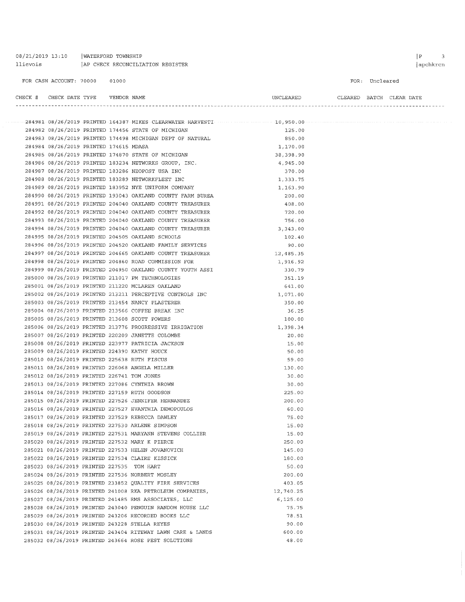| llievois                                        |       | AP CHECK RECONCILIATION REGISTER                                    |                                    |                | apchkrcn |
|-------------------------------------------------|-------|---------------------------------------------------------------------|------------------------------------|----------------|----------|
| FOR CASH ACCOUNT: 70000                         | 01000 |                                                                     |                                    | FOR: Uncleared |          |
| CHECK # CHECK DATE TYPE    VENDOR NAME          |       |                                                                     | UNCLEARED CLEARED BATCH CLEAR DATE |                |          |
|                                                 |       |                                                                     |                                    |                |          |
|                                                 |       | 284982 08/26/2019 PRINTED 174456 STATE OF MICHIGAN                  | 125.00                             |                |          |
|                                                 |       | 284983 08/26/2019 PRINTED 174498 MICHIGAN DEPT OF NATURAL           | 850.00                             |                |          |
| 284984 08/26/2019 PRINTED 174615 MDASA          |       |                                                                     | 1,170.00                           |                |          |
|                                                 |       | 284985 08/26/2019 PRINTED 174870 STATE OF MICHIGAN                  | 38,398.90                          |                |          |
|                                                 |       | 284986 08/26/2019 PRINTED 183234 NETWORKS GROUP, INC.               | 4,945.00                           |                |          |
|                                                 |       | 284987 08/26/2019 PRINTED 183286 NEOPOST USA INC                    | 370.00                             |                |          |
|                                                 |       | 284988 08/26/2019 PRINTED 183289 NETWORKFLEET INC                   | 1,333.75                           |                |          |
|                                                 |       | 284989 08/26/2019 PRINTED 183952 NYE UNIFORM COMPANY                | 1,163.90                           |                |          |
|                                                 |       | 284990 08/26/2019 PRINTED 193043 OAKLAND COUNTY FARM BUREA          | 200.00                             |                |          |
|                                                 |       | 284991 08/26/2019 PRINTED 204040 OAKLAND COUNTY TREASURER           | 408.00                             |                |          |
|                                                 |       | 284992 08/26/2019 PRINTED 204040 OAKLAND COUNTY TREASURER           | 720.00                             |                |          |
|                                                 |       | 284993 08/26/2019 PRINTED 204040 OAKLAND COUNTY TREASURER           | 756.00                             |                |          |
|                                                 |       | 284994 08/26/2019 PRINTED 204040 OAKLAND COUNTY TREASURER           | 3,343.00                           |                |          |
|                                                 |       | 284995 08/26/2019 PRINTED 204505 OAKLAND SCHOOLS                    | 102.40                             |                |          |
|                                                 |       | 284996 08/26/2019 PRINTED 204520 OAKLAND FAMILY SERVICES            | 90.00                              |                |          |
|                                                 |       | 284997 08/26/2019 PRINTED 204665 OAKLAND COUNTY TREASURER 12,485.35 |                                    |                |          |
|                                                 |       | 284998 08/26/2019 PRINTED 204860 ROAD COMMISSION FOR                | 1,916.92                           |                |          |
|                                                 |       | 284999 08/26/2019 PRINTED 204950 OAKLAND COUNTY YOUTH ASSI          | 330.79                             |                |          |
|                                                 |       | 285000 08/26/2019 PRINTED 211017 PM TECHNOLOGIES                    | 351.19                             |                |          |
|                                                 |       | 285001 08/26/2019 PRINTED 211220 MCLAREN OAKLAND                    | 641.00                             |                |          |
|                                                 |       | 285002 08/26/2019 PRINTED 213211 PERCEPTIVE CONTROLS INC            | 1,071.00                           |                |          |
|                                                 |       | 285003 08/26/2019 PRINTED 213454 NANCY PLASTERER                    | 350.00                             |                |          |
|                                                 |       | 285004 08/26/2019 PRINTED 213566 COFFEE BREAK INC                   | 36.25                              |                |          |
| 285005 08/26/2019 PRINTED 213608 SCOTT POWERS   |       |                                                                     | 100.00                             |                |          |
|                                                 |       | 285006 08/26/2019 PRINTED 213776 PROGRESSIVE IRRIGATION             | 1,398.34                           |                |          |
|                                                 |       | 285007 08/26/2019 PRINTED 220209 JANETTE COLOMBE                    | 20.00                              |                |          |
|                                                 |       | 285008 08/26/2019 PRINTED 223977 PATRICIA JACKSON                   | 15.00                              |                |          |
| 285009 08/26/2019 PRINTED 224390 KATHY HOUCK    |       |                                                                     | 50.00                              |                |          |
| 285010 08/26/2019 PRINTED 225638 RUTH FISCUS    |       |                                                                     | 59.00                              |                |          |
| 285011 08/26/2019 PRINTED 226068 ANGELA MILLER  |       |                                                                     | 130.00                             |                |          |
| 285012 08/26/2019 PRINTED 226741 TOM JONES      |       |                                                                     | 30.00                              |                |          |
| 285013 08/26/2019 PRINTED 227086 CYNTHIA BROWN  |       |                                                                     | 30.00                              |                |          |
| 285014 08/26/2019 PRINTED 227159 RUTH GOODSON   |       |                                                                     | 225.00                             |                |          |
|                                                 |       | 285015 08/26/2019 PRINTED 227526 JENNIFER HERNANDEZ                 | 200.00                             |                |          |
|                                                 |       | 285016 08/26/2019 PRINTED 227527 EVANTHIA DEMOPOULOS                | 60.00                              |                |          |
| 285017 08/26/2019 PRINTED 227529 REBECCA DAWLEY |       |                                                                     | 75.00                              |                |          |
| 285018 08/26/2019 PRINTED 227530 ARLENE SIMPSON |       |                                                                     | 15.00                              |                |          |
|                                                 |       | 285019 08/26/2019 PRINTED 227531 MARYANN STEVENS COLLIER            | 15.00                              |                |          |
| 285020 08/26/2019 PRINTED 227532 MARY K PIERCE  |       |                                                                     | 250.00                             |                |          |
|                                                 |       | 285021 08/26/2019 PRINTED 227533 HELEN JOVANOVICH                   | 145.00                             |                |          |
| 285022 08/26/2019 PRINTED 227534 CLAIRE KISSICK |       |                                                                     | 180.00                             |                |          |
| 285023 08/26/2019 PRINTED 227535 TOM HART       |       |                                                                     | 50.00                              |                |          |
| 285024 08/26/2019 PRINTED 227536 NORBERT MOSLEY |       |                                                                     | 200.00                             |                |          |
|                                                 |       | 285025 08/26/2019 PRINTED 233852 QUALITY FIRE SERVICES              | 403.05                             |                |          |
|                                                 |       | 285026 08/26/2019 PRINTED 241008 RKA PETROLEUM COMPANIES,           | 12,740.25                          |                |          |
|                                                 |       | 285027 08/26/2019 PRINTED 241485 RMS ASSOCIATES, LLC                | 6, 125.00                          |                |          |
|                                                 |       | 285028 08/26/2019 PRINTED 243040 PENGUIN RANDOM HOUSE LLC           | 75.75                              |                |          |
|                                                 |       | 285029 08/26/2019 PRINTED 243206 RECORDED BOOKS LLC                 | 78.51                              |                |          |

 $90.00$ 

 $600.00$ 

 $48.00$ 

08/21/2019 13:10 | WATERFORD TOWNSHIP

285030 08/26/2019 PRINTED 243228 STELLA REYES

285031 08/26/2019 PRINTED 243404 RITEWAY LAWN CARE & LANDS

285032 08/26/2019 PRINTED 243664 ROSE PEST SOLUTIONS

 $\begin{array}{ccc} \mid P & 3 \\ \end{array}$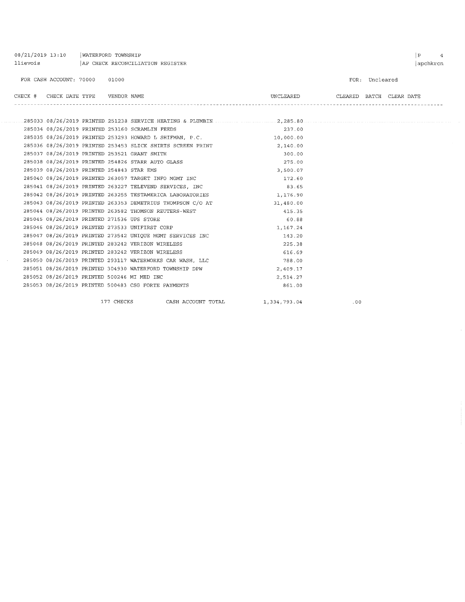| 08/21/2019 13:10<br>llievois |                 | WATERFORD TOWNSHIP<br>AP CHECK RECONCILIATION REGISTER     |                                                            |              |     | $\, {\bf p}$             | $\overline{4}$<br>apchkrcn |
|------------------------------|-----------------|------------------------------------------------------------|------------------------------------------------------------|--------------|-----|--------------------------|----------------------------|
|                              |                 |                                                            |                                                            |              |     |                          |                            |
| FOR CASH ACCOUNT: 70000      |                 | 01000                                                      |                                                            |              |     | FOR: Uncleared           |                            |
| CHECK #                      | CHECK DATE TYPE | VENDOR NAME                                                |                                                            | UNCLEARED    |     | CLEARED BATCH CLEAR DATE |                            |
|                              |                 |                                                            |                                                            |              |     |                          |                            |
|                              |                 | 285034 08/26/2019 PRINTED 253160 SCRAMLIN FEEDS            |                                                            | 237.00       |     |                          |                            |
|                              |                 |                                                            | 285035 08/26/2019 PRINTED 253293 HOWARD L SHIFMAN, P.C.    | 10,000.00    |     |                          |                            |
|                              |                 |                                                            | 285036 08/26/2019 PRINTED 253453 SLICK SHIRTS SCREEN PRINT | 2,140.00     |     |                          |                            |
|                              |                 | 285037 08/26/2019 PRINTED 253521 GRANT SMITH               |                                                            | 300.00       |     |                          |                            |
|                              |                 | 285038 08/26/2019 PRINTED 254826 STARR AUTO GLASS          |                                                            | 275.00       |     |                          |                            |
|                              |                 | 285039 08/26/2019 PRINTED 254843 STAR EMS                  |                                                            | 3,500.07     |     |                          |                            |
|                              |                 | 285040 08/26/2019 PRINTED 263057 TARGET INFO MGMT INC      |                                                            | 172.60       |     |                          |                            |
|                              |                 | 285041 08/26/2019 PRINTED 263227 TELEVEND SERVICES, INC    |                                                            | 83.65        |     |                          |                            |
|                              |                 | 285042 08/26/2019 PRINTED 263255 TESTAMERICA LABORATORIES  |                                                            | 1,176.90     |     |                          |                            |
|                              |                 | 285043 08/26/2019 PRINTED 263353 DEMETRIUS THOMPSON C/O AT |                                                            | 31,480.00    |     |                          |                            |
|                              |                 | 285044 08/26/2019 PRINTED 263582 THOMSON REUTERS-WEST      |                                                            | 415.35       |     |                          |                            |
|                              |                 | 285045 08/26/2019 PRINTED 271536 UPS STORE                 |                                                            | 60.88        |     |                          |                            |
|                              |                 | 285046 08/26/2019 PRINTED 273533 UNIFIRST CORP             |                                                            | 1,167.24     |     |                          |                            |
|                              |                 | 285047 08/26/2019 PRINTED 273542 UNIQUE MGMT SERVICES INC  |                                                            | 143.20       |     |                          |                            |
|                              |                 | 285048 08/26/2019 PRINTED 283242 VERIZON WIRELESS          |                                                            | 225.38       |     |                          |                            |
|                              |                 | 285049 08/26/2019 PRINTED 283242 VERIZON WIRELESS          |                                                            | 616.69       |     |                          |                            |
|                              |                 | 285050 08/26/2019 PRINTED 293117 WATERWORKS CAR WASH, LLC  |                                                            | 788.00       |     |                          |                            |
|                              |                 | 285051 08/26/2019 PRINTED 304930 WATERFORD TOWNSHIP DPW    |                                                            | 2,409.17     |     |                          |                            |
|                              |                 | 285052 08/26/2019 PRINTED 500246 MI MED INC                |                                                            | 2,514.27     |     |                          |                            |
|                              |                 | 285053 08/26/2019 PRINTED 500483 CSG FORTE PAYMENTS        |                                                            | 861.00       |     |                          |                            |
|                              |                 | 177 CHECKS                                                 | CASH ACCOUNT TOTAL                                         | 1,334,793.04 | .00 |                          |                            |